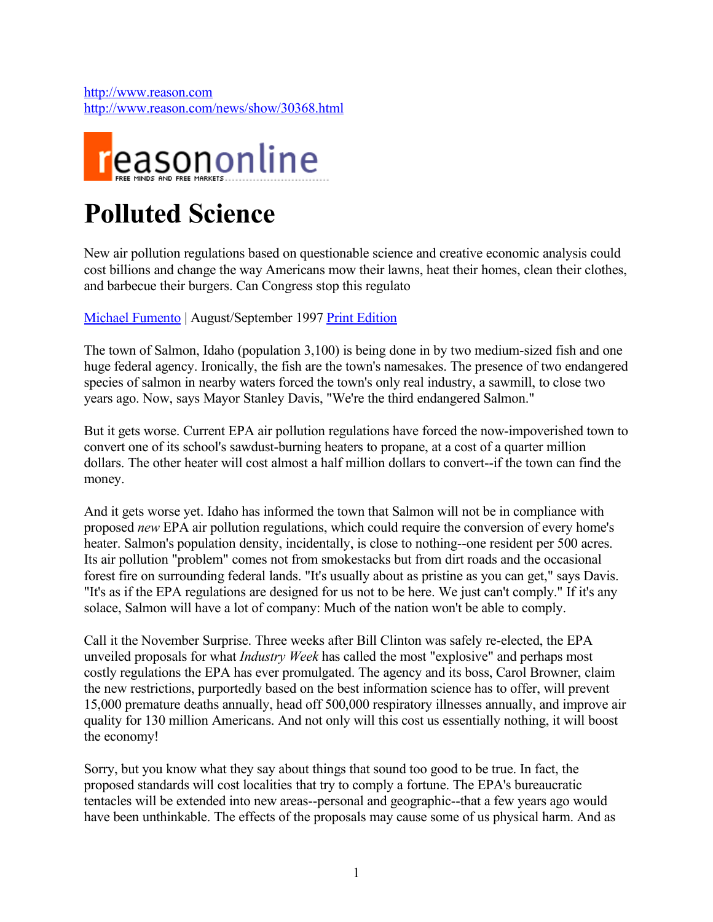[http://www.reason.com](http://www.reason.com/) <http://www.reason.com/news/show/30368.html>



# **Polluted Science**

New air pollution regulations based on questionable science and creative economic analysis could cost billions and change the way Americans mow their lawns, heat their homes, clean their clothes, and barbecue their burgers. Can Congress stop this regulato

[Michael Fumento](http://www.reason.com/contrib/show/294.html) | August/September 1997 [Print Edition](http://www.reason.com/issues/show/316.html)

The town of Salmon, Idaho (population 3,100) is being done in by two medium-sized fish and one huge federal agency. Ironically, the fish are the town's namesakes. The presence of two endangered species of salmon in nearby waters forced the town's only real industry, a sawmill, to close two years ago. Now, says Mayor Stanley Davis, "We're the third endangered Salmon."

But it gets worse. Current EPA air pollution regulations have forced the now-impoverished town to convert one of its school's sawdust-burning heaters to propane, at a cost of a quarter million dollars. The other heater will cost almost a half million dollars to convert--if the town can find the money.

And it gets worse yet. Idaho has informed the town that Salmon will not be in compliance with proposed *new* EPA air pollution regulations, which could require the conversion of every home's heater. Salmon's population density, incidentally, is close to nothing--one resident per 500 acres. Its air pollution "problem" comes not from smokestacks but from dirt roads and the occasional forest fire on surrounding federal lands. "It's usually about as pristine as you can get," says Davis. "It's as if the EPA regulations are designed for us not to be here. We just can't comply." If it's any solace, Salmon will have a lot of company: Much of the nation won't be able to comply.

Call it the November Surprise. Three weeks after Bill Clinton was safely re-elected, the EPA unveiled proposals for what *Industry Week* has called the most "explosive" and perhaps most costly regulations the EPA has ever promulgated. The agency and its boss, Carol Browner, claim the new restrictions, purportedly based on the best information science has to offer, will prevent 15,000 premature deaths annually, head off 500,000 respiratory illnesses annually, and improve air quality for 130 million Americans. And not only will this cost us essentially nothing, it will boost the economy!

Sorry, but you know what they say about things that sound too good to be true. In fact, the proposed standards will cost localities that try to comply a fortune. The EPA's bureaucratic tentacles will be extended into new areas--personal and geographic--that a few years ago would have been unthinkable. The effects of the proposals may cause some of us physical harm. And as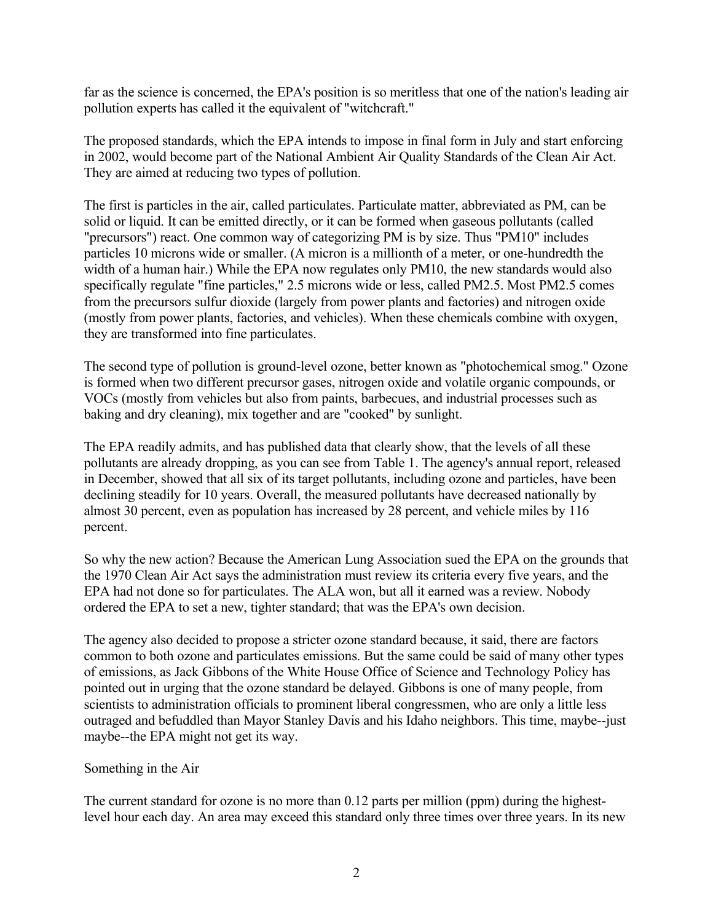far as the science is concerned, the EPA's position is so meritless that one of the nation's leading air pollution experts has called it the equivalent of "witchcraft."

The proposed standards, which the EPA intends to impose in final form in July and start enforcing in 2002, would become part of the National Ambient Air Quality Standards of the Clean Air Act. They are aimed at reducing two types of pollution.

The first is particles in the air, called particulates. Particulate matter, abbreviated as PM, can be solid or liquid. It can be emitted directly, or it can be formed when gaseous pollutants (called "precursors") react. One common way of categorizing PM is by size. Thus "PM10" includes particles 10 microns wide or smaller. (A micron is a millionth of a meter, or one-hundredth the width of a human hair.) While the EPA now regulates only PM10, the new standards would also specifically regulate "fine particles," 2.5 microns wide or less, called PM2.5. Most PM2.5 comes from the precursors sulfur dioxide (largely from power plants and factories) and nitrogen oxide (mostly from power plants, factories, and vehicles). When these chemicals combine with oxygen, they are transformed into fine particulates.

The second type of pollution is ground-level ozone, better known as "photochemical smog." Ozone is formed when two different precursor gases, nitrogen oxide and volatile organic compounds, or VOCs (mostly from vehicles but also from paints, barbecues, and industrial processes such as baking and dry cleaning), mix together and are "cooked" by sunlight.

The EPA readily admits, and has published data that clearly show, that the levels of all these pollutants are already dropping, as you can see from Table 1. The agency's annual report, released in December, showed that all six of its target pollutants, including ozone and particles, have been declining steadily for 10 years. Overall, the measured pollutants have decreased nationally by almost 30 percent, even as population has increased by 28 percent, and vehicle miles by 116 percent.

So why the new action? Because the American Lung Association sued the EPA on the grounds that the 1970 Clean Air Act says the administration must review its criteria every five years, and the EPA had not done so for particulates. The ALA won, but all it earned was a review. Nobody ordered the EPA to set a new, tighter standard; that was the EPA's own decision.

The agency also decided to propose a stricter ozone standard because, it said, there are factors common to both ozone and particulates emissions. But the same could be said of many other types of emissions, as Jack Gibbons of the White House Office of Science and Technology Policy has pointed out in urging that the ozone standard be delayed. Gibbons is one of many people, from scientists to administration officials to prominent liberal congressmen, who are only a little less outraged and befuddled than Mayor Stanley Davis and his Idaho neighbors. This time, maybe--just maybe--the EPA might not get its way.

#### Something in the Air

The current standard for ozone is no more than 0.12 parts per million (ppm) during the highestlevel hour each day. An area may exceed this standard only three times over three years. In its new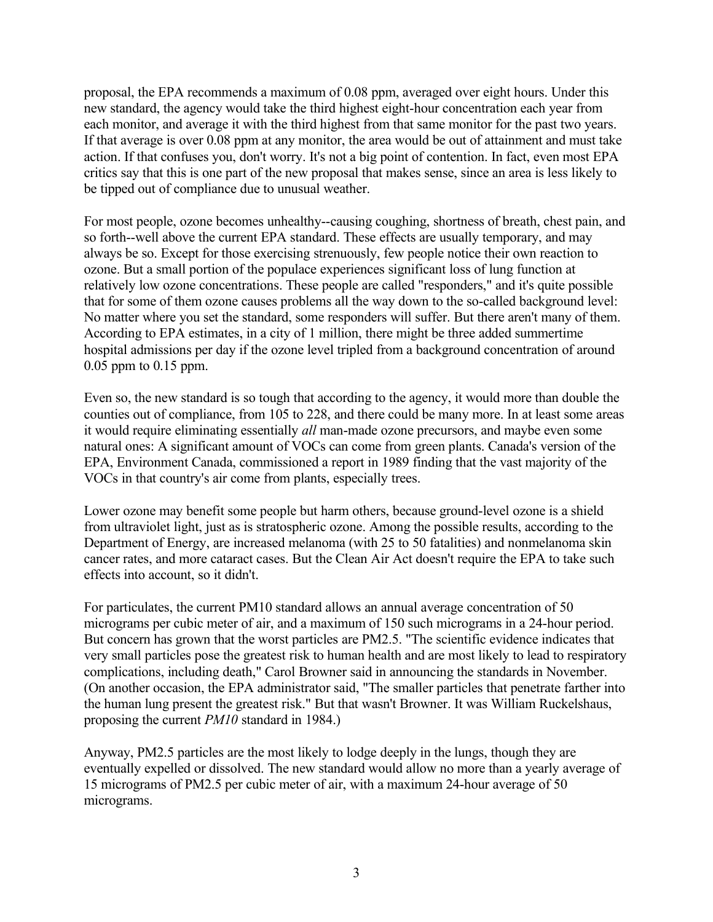proposal, the EPA recommends a maximum of 0.08 ppm, averaged over eight hours. Under this new standard, the agency would take the third highest eight-hour concentration each year from each monitor, and average it with the third highest from that same monitor for the past two years. If that average is over 0.08 ppm at any monitor, the area would be out of attainment and must take action. If that confuses you, don't worry. It's not a big point of contention. In fact, even most EPA critics say that this is one part of the new proposal that makes sense, since an area is less likely to be tipped out of compliance due to unusual weather.

For most people, ozone becomes unhealthy--causing coughing, shortness of breath, chest pain, and so forth--well above the current EPA standard. These effects are usually temporary, and may always be so. Except for those exercising strenuously, few people notice their own reaction to ozone. But a small portion of the populace experiences significant loss of lung function at relatively low ozone concentrations. These people are called "responders," and it's quite possible that for some of them ozone causes problems all the way down to the so-called background level: No matter where you set the standard, some responders will suffer. But there aren't many of them. According to EPA estimates, in a city of 1 million, there might be three added summertime hospital admissions per day if the ozone level tripled from a background concentration of around 0.05 ppm to 0.15 ppm.

Even so, the new standard is so tough that according to the agency, it would more than double the counties out of compliance, from 105 to 228, and there could be many more. In at least some areas it would require eliminating essentially *all* man-made ozone precursors, and maybe even some natural ones: A significant amount of VOCs can come from green plants. Canada's version of the EPA, Environment Canada, commissioned a report in 1989 finding that the vast majority of the VOCs in that country's air come from plants, especially trees.

Lower ozone may benefit some people but harm others, because ground-level ozone is a shield from ultraviolet light, just as is stratospheric ozone. Among the possible results, according to the Department of Energy, are increased melanoma (with 25 to 50 fatalities) and nonmelanoma skin cancer rates, and more cataract cases. But the Clean Air Act doesn't require the EPA to take such effects into account, so it didn't.

For particulates, the current PM10 standard allows an annual average concentration of 50 micrograms per cubic meter of air, and a maximum of 150 such micrograms in a 24-hour period. But concern has grown that the worst particles are PM2.5. "The scientific evidence indicates that very small particles pose the greatest risk to human health and are most likely to lead to respiratory complications, including death," Carol Browner said in announcing the standards in November. (On another occasion, the EPA administrator said, "The smaller particles that penetrate farther into the human lung present the greatest risk." But that wasn't Browner. It was William Ruckelshaus, proposing the current *PM10* standard in 1984.)

Anyway, PM2.5 particles are the most likely to lodge deeply in the lungs, though they are eventually expelled or dissolved. The new standard would allow no more than a yearly average of 15 micrograms of PM2.5 per cubic meter of air, with a maximum 24-hour average of 50 micrograms.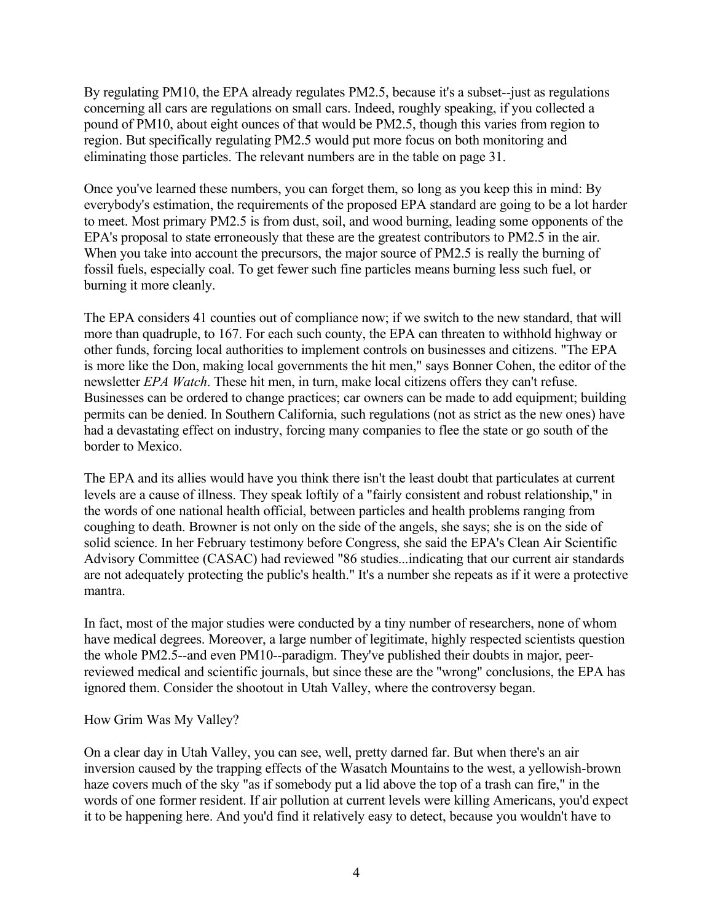By regulating PM10, the EPA already regulates PM2.5, because it's a subset--just as regulations concerning all cars are regulations on small cars. Indeed, roughly speaking, if you collected a pound of PM10, about eight ounces of that would be PM2.5, though this varies from region to region. But specifically regulating PM2.5 would put more focus on both monitoring and eliminating those particles. The relevant numbers are in the table on page 31.

Once you've learned these numbers, you can forget them, so long as you keep this in mind: By everybody's estimation, the requirements of the proposed EPA standard are going to be a lot harder to meet. Most primary PM2.5 is from dust, soil, and wood burning, leading some opponents of the EPA's proposal to state erroneously that these are the greatest contributors to PM2.5 in the air. When you take into account the precursors, the major source of PM2.5 is really the burning of fossil fuels, especially coal. To get fewer such fine particles means burning less such fuel, or burning it more cleanly.

The EPA considers 41 counties out of compliance now; if we switch to the new standard, that will more than quadruple, to 167. For each such county, the EPA can threaten to withhold highway or other funds, forcing local authorities to implement controls on businesses and citizens. "The EPA is more like the Don, making local governments the hit men," says Bonner Cohen, the editor of the newsletter *EPA Watch*. These hit men, in turn, make local citizens offers they can't refuse. Businesses can be ordered to change practices; car owners can be made to add equipment; building permits can be denied. In Southern California, such regulations (not as strict as the new ones) have had a devastating effect on industry, forcing many companies to flee the state or go south of the border to Mexico.

The EPA and its allies would have you think there isn't the least doubt that particulates at current levels are a cause of illness. They speak loftily of a "fairly consistent and robust relationship," in the words of one national health official, between particles and health problems ranging from coughing to death. Browner is not only on the side of the angels, she says; she is on the side of solid science. In her February testimony before Congress, she said the EPA's Clean Air Scientific Advisory Committee (CASAC) had reviewed "86 studies...indicating that our current air standards are not adequately protecting the public's health." It's a number she repeats as if it were a protective mantra.

In fact, most of the major studies were conducted by a tiny number of researchers, none of whom have medical degrees. Moreover, a large number of legitimate, highly respected scientists question the whole PM2.5--and even PM10--paradigm. They've published their doubts in major, peerreviewed medical and scientific journals, but since these are the "wrong" conclusions, the EPA has ignored them. Consider the shootout in Utah Valley, where the controversy began.

#### How Grim Was My Valley?

On a clear day in Utah Valley, you can see, well, pretty darned far. But when there's an air inversion caused by the trapping effects of the Wasatch Mountains to the west, a yellowish-brown haze covers much of the sky "as if somebody put a lid above the top of a trash can fire," in the words of one former resident. If air pollution at current levels were killing Americans, you'd expect it to be happening here. And you'd find it relatively easy to detect, because you wouldn't have to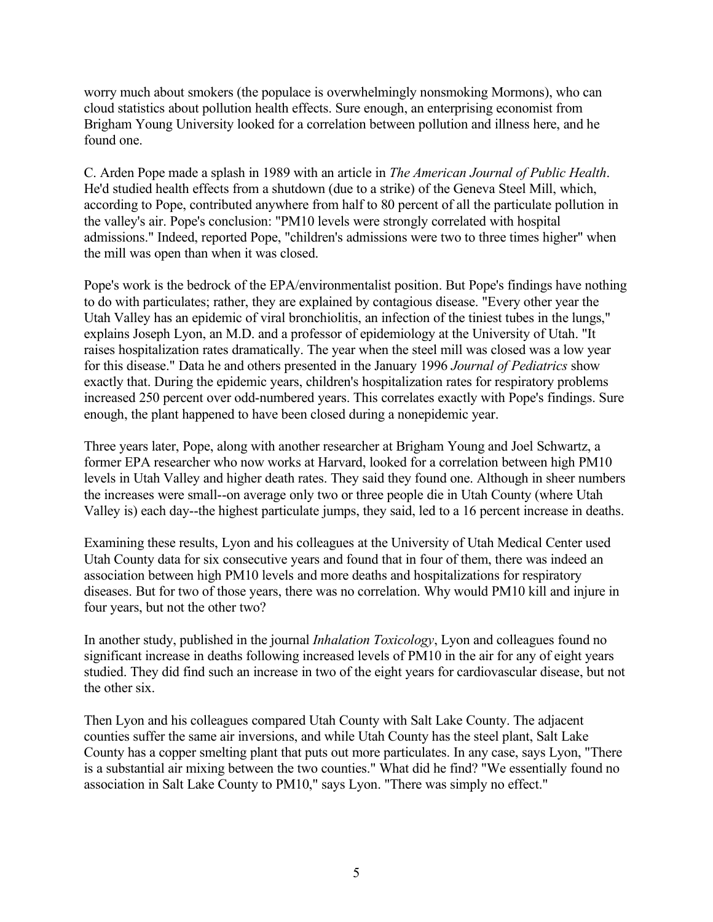worry much about smokers (the populace is overwhelmingly nonsmoking Mormons), who can cloud statistics about pollution health effects. Sure enough, an enterprising economist from Brigham Young University looked for a correlation between pollution and illness here, and he found one.

C. Arden Pope made a splash in 1989 with an article in *The American Journal of Public Health*. He'd studied health effects from a shutdown (due to a strike) of the Geneva Steel Mill, which, according to Pope, contributed anywhere from half to 80 percent of all the particulate pollution in the valley's air. Pope's conclusion: "PM10 levels were strongly correlated with hospital admissions." Indeed, reported Pope, "children's admissions were two to three times higher" when the mill was open than when it was closed.

Pope's work is the bedrock of the EPA/environmentalist position. But Pope's findings have nothing to do with particulates; rather, they are explained by contagious disease. "Every other year the Utah Valley has an epidemic of viral bronchiolitis, an infection of the tiniest tubes in the lungs," explains Joseph Lyon, an M.D. and a professor of epidemiology at the University of Utah. "It raises hospitalization rates dramatically. The year when the steel mill was closed was a low year for this disease." Data he and others presented in the January 1996 *Journal of Pediatrics* show exactly that. During the epidemic years, children's hospitalization rates for respiratory problems increased 250 percent over odd-numbered years. This correlates exactly with Pope's findings. Sure enough, the plant happened to have been closed during a nonepidemic year.

Three years later, Pope, along with another researcher at Brigham Young and Joel Schwartz, a former EPA researcher who now works at Harvard, looked for a correlation between high PM10 levels in Utah Valley and higher death rates. They said they found one. Although in sheer numbers the increases were small--on average only two or three people die in Utah County (where Utah Valley is) each day--the highest particulate jumps, they said, led to a 16 percent increase in deaths.

Examining these results, Lyon and his colleagues at the University of Utah Medical Center used Utah County data for six consecutive years and found that in four of them, there was indeed an association between high PM10 levels and more deaths and hospitalizations for respiratory diseases. But for two of those years, there was no correlation. Why would PM10 kill and injure in four years, but not the other two?

In another study, published in the journal *Inhalation Toxicology*, Lyon and colleagues found no significant increase in deaths following increased levels of PM10 in the air for any of eight years studied. They did find such an increase in two of the eight years for cardiovascular disease, but not the other six.

Then Lyon and his colleagues compared Utah County with Salt Lake County. The adjacent counties suffer the same air inversions, and while Utah County has the steel plant, Salt Lake County has a copper smelting plant that puts out more particulates. In any case, says Lyon, "There is a substantial air mixing between the two counties." What did he find? "We essentially found no association in Salt Lake County to PM10," says Lyon. "There was simply no effect."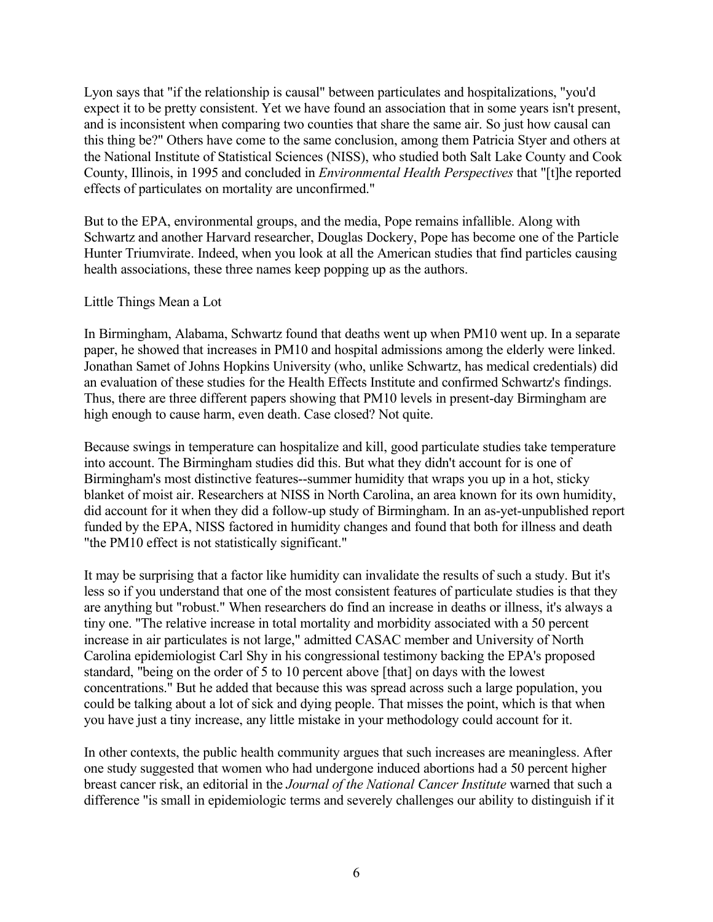Lyon says that "if the relationship is causal" between particulates and hospitalizations, "you'd expect it to be pretty consistent. Yet we have found an association that in some years isn't present, and is inconsistent when comparing two counties that share the same air. So just how causal can this thing be?" Others have come to the same conclusion, among them Patricia Styer and others at the National Institute of Statistical Sciences (NISS), who studied both Salt Lake County and Cook County, Illinois, in 1995 and concluded in *Environmental Health Perspectives* that "[t]he reported effects of particulates on mortality are unconfirmed."

But to the EPA, environmental groups, and the media, Pope remains infallible. Along with Schwartz and another Harvard researcher, Douglas Dockery, Pope has become one of the Particle Hunter Triumvirate. Indeed, when you look at all the American studies that find particles causing health associations, these three names keep popping up as the authors.

#### Little Things Mean a Lot

In Birmingham, Alabama, Schwartz found that deaths went up when PM10 went up. In a separate paper, he showed that increases in PM10 and hospital admissions among the elderly were linked. Jonathan Samet of Johns Hopkins University (who, unlike Schwartz, has medical credentials) did an evaluation of these studies for the Health Effects Institute and confirmed Schwartz's findings. Thus, there are three different papers showing that PM10 levels in present-day Birmingham are high enough to cause harm, even death. Case closed? Not quite.

Because swings in temperature can hospitalize and kill, good particulate studies take temperature into account. The Birmingham studies did this. But what they didn't account for is one of Birmingham's most distinctive features--summer humidity that wraps you up in a hot, sticky blanket of moist air. Researchers at NISS in North Carolina, an area known for its own humidity, did account for it when they did a follow-up study of Birmingham. In an as-yet-unpublished report funded by the EPA, NISS factored in humidity changes and found that both for illness and death "the PM10 effect is not statistically significant."

It may be surprising that a factor like humidity can invalidate the results of such a study. But it's less so if you understand that one of the most consistent features of particulate studies is that they are anything but "robust." When researchers do find an increase in deaths or illness, it's always a tiny one. "The relative increase in total mortality and morbidity associated with a 50 percent increase in air particulates is not large," admitted CASAC member and University of North Carolina epidemiologist Carl Shy in his congressional testimony backing the EPA's proposed standard, "being on the order of 5 to 10 percent above [that] on days with the lowest concentrations." But he added that because this was spread across such a large population, you could be talking about a lot of sick and dying people. That misses the point, which is that when you have just a tiny increase, any little mistake in your methodology could account for it.

In other contexts, the public health community argues that such increases are meaningless. After one study suggested that women who had undergone induced abortions had a 50 percent higher breast cancer risk, an editorial in the *Journal of the National Cancer Institute* warned that such a difference "is small in epidemiologic terms and severely challenges our ability to distinguish if it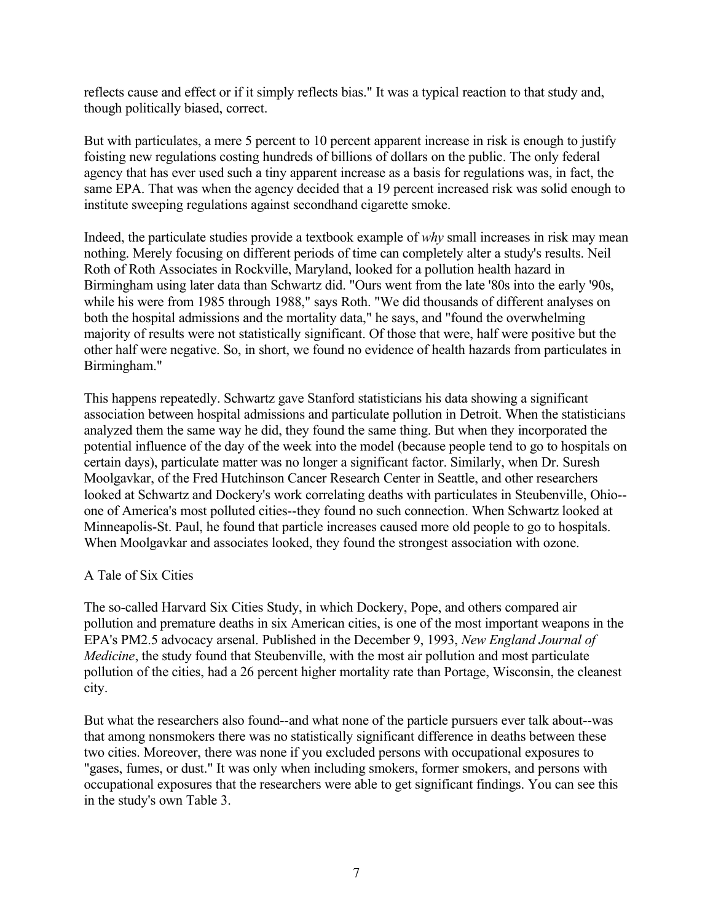reflects cause and effect or if it simply reflects bias." It was a typical reaction to that study and, though politically biased, correct.

But with particulates, a mere 5 percent to 10 percent apparent increase in risk is enough to justify foisting new regulations costing hundreds of billions of dollars on the public. The only federal agency that has ever used such a tiny apparent increase as a basis for regulations was, in fact, the same EPA. That was when the agency decided that a 19 percent increased risk was solid enough to institute sweeping regulations against secondhand cigarette smoke.

Indeed, the particulate studies provide a textbook example of *why* small increases in risk may mean nothing. Merely focusing on different periods of time can completely alter a study's results. Neil Roth of Roth Associates in Rockville, Maryland, looked for a pollution health hazard in Birmingham using later data than Schwartz did. "Ours went from the late '80s into the early '90s, while his were from 1985 through 1988," says Roth. "We did thousands of different analyses on both the hospital admissions and the mortality data," he says, and "found the overwhelming majority of results were not statistically significant. Of those that were, half were positive but the other half were negative. So, in short, we found no evidence of health hazards from particulates in Birmingham."

This happens repeatedly. Schwartz gave Stanford statisticians his data showing a significant association between hospital admissions and particulate pollution in Detroit. When the statisticians analyzed them the same way he did, they found the same thing. But when they incorporated the potential influence of the day of the week into the model (because people tend to go to hospitals on certain days), particulate matter was no longer a significant factor. Similarly, when Dr. Suresh Moolgavkar, of the Fred Hutchinson Cancer Research Center in Seattle, and other researchers looked at Schwartz and Dockery's work correlating deaths with particulates in Steubenville, Ohio- one of America's most polluted cities--they found no such connection. When Schwartz looked at Minneapolis-St. Paul, he found that particle increases caused more old people to go to hospitals. When Moolgavkar and associates looked, they found the strongest association with ozone.

#### A Tale of Six Cities

The so-called Harvard Six Cities Study, in which Dockery, Pope, and others compared air pollution and premature deaths in six American cities, is one of the most important weapons in the EPA's PM2.5 advocacy arsenal. Published in the December 9, 1993, *New England Journal of Medicine*, the study found that Steubenville, with the most air pollution and most particulate pollution of the cities, had a 26 percent higher mortality rate than Portage, Wisconsin, the cleanest city.

But what the researchers also found--and what none of the particle pursuers ever talk about--was that among nonsmokers there was no statistically significant difference in deaths between these two cities. Moreover, there was none if you excluded persons with occupational exposures to "gases, fumes, or dust." It was only when including smokers, former smokers, and persons with occupational exposures that the researchers were able to get significant findings. You can see this in the study's own Table 3.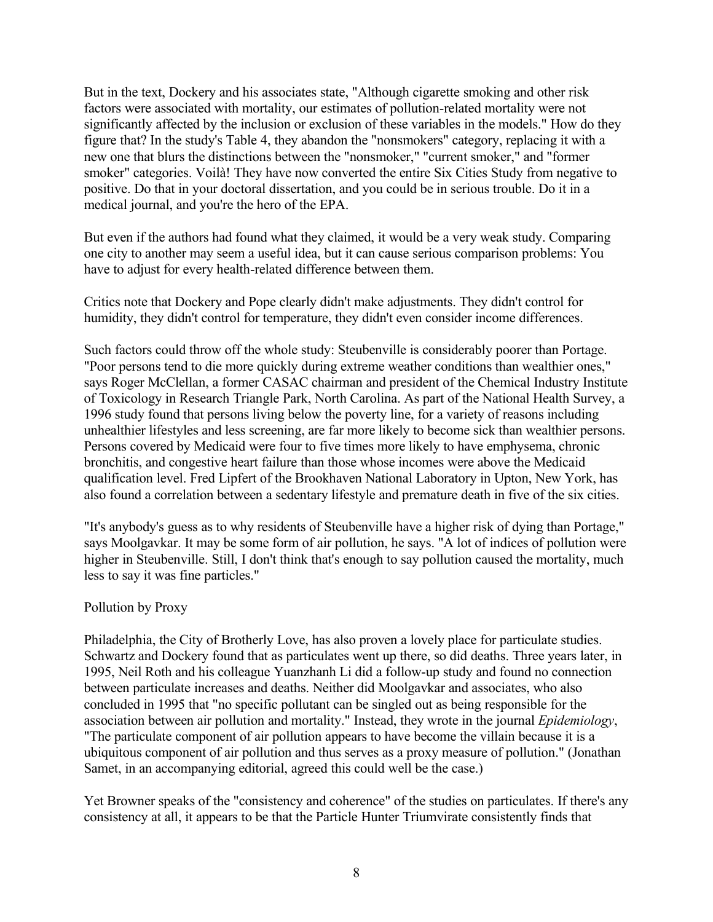But in the text, Dockery and his associates state, "Although cigarette smoking and other risk factors were associated with mortality, our estimates of pollution-related mortality were not significantly affected by the inclusion or exclusion of these variables in the models." How do they figure that? In the study's Table 4, they abandon the "nonsmokers" category, replacing it with a new one that blurs the distinctions between the "nonsmoker," "current smoker," and "former smoker" categories. Voilà! They have now converted the entire Six Cities Study from negative to positive. Do that in your doctoral dissertation, and you could be in serious trouble. Do it in a medical journal, and you're the hero of the EPA.

But even if the authors had found what they claimed, it would be a very weak study. Comparing one city to another may seem a useful idea, but it can cause serious comparison problems: You have to adjust for every health-related difference between them.

Critics note that Dockery and Pope clearly didn't make adjustments. They didn't control for humidity, they didn't control for temperature, they didn't even consider income differences.

Such factors could throw off the whole study: Steubenville is considerably poorer than Portage. "Poor persons tend to die more quickly during extreme weather conditions than wealthier ones," says Roger McClellan, a former CASAC chairman and president of the Chemical Industry Institute of Toxicology in Research Triangle Park, North Carolina. As part of the National Health Survey, a 1996 study found that persons living below the poverty line, for a variety of reasons including unhealthier lifestyles and less screening, are far more likely to become sick than wealthier persons. Persons covered by Medicaid were four to five times more likely to have emphysema, chronic bronchitis, and congestive heart failure than those whose incomes were above the Medicaid qualification level. Fred Lipfert of the Brookhaven National Laboratory in Upton, New York, has also found a correlation between a sedentary lifestyle and premature death in five of the six cities.

"It's anybody's guess as to why residents of Steubenville have a higher risk of dying than Portage," says Moolgavkar. It may be some form of air pollution, he says. "A lot of indices of pollution were higher in Steubenville. Still, I don't think that's enough to say pollution caused the mortality, much less to say it was fine particles."

#### Pollution by Proxy

Philadelphia, the City of Brotherly Love, has also proven a lovely place for particulate studies. Schwartz and Dockery found that as particulates went up there, so did deaths. Three years later, in 1995, Neil Roth and his colleague Yuanzhanh Li did a follow-up study and found no connection between particulate increases and deaths. Neither did Moolgavkar and associates, who also concluded in 1995 that "no specific pollutant can be singled out as being responsible for the association between air pollution and mortality." Instead, they wrote in the journal *Epidemiology*, "The particulate component of air pollution appears to have become the villain because it is a ubiquitous component of air pollution and thus serves as a proxy measure of pollution." (Jonathan Samet, in an accompanying editorial, agreed this could well be the case.)

Yet Browner speaks of the "consistency and coherence" of the studies on particulates. If there's any consistency at all, it appears to be that the Particle Hunter Triumvirate consistently finds that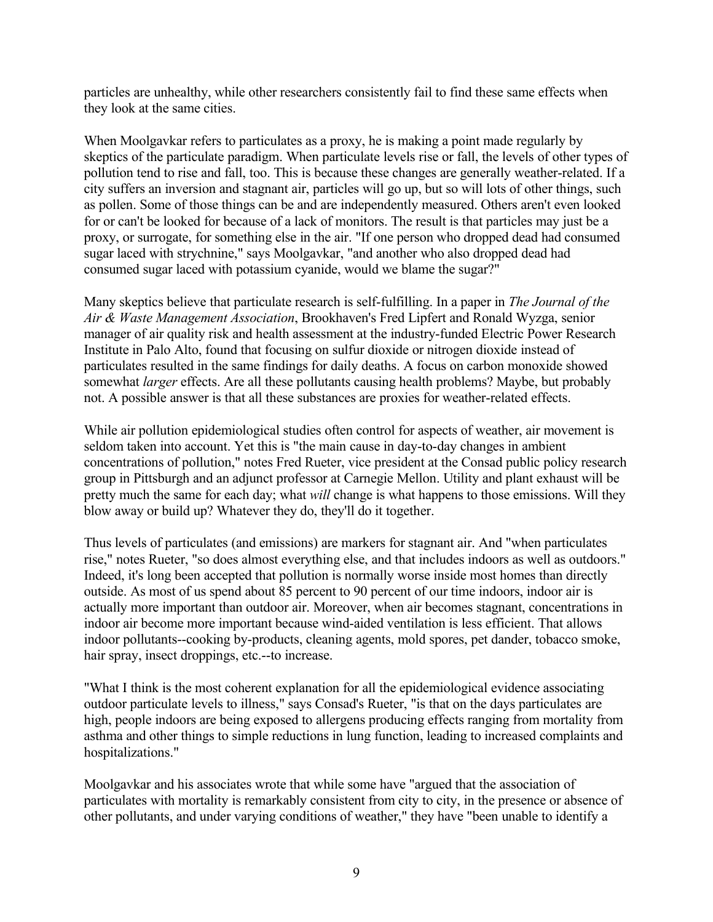particles are unhealthy, while other researchers consistently fail to find these same effects when they look at the same cities.

When Moolgavkar refers to particulates as a proxy, he is making a point made regularly by skeptics of the particulate paradigm. When particulate levels rise or fall, the levels of other types of pollution tend to rise and fall, too. This is because these changes are generally weather-related. If a city suffers an inversion and stagnant air, particles will go up, but so will lots of other things, such as pollen. Some of those things can be and are independently measured. Others aren't even looked for or can't be looked for because of a lack of monitors. The result is that particles may just be a proxy, or surrogate, for something else in the air. "If one person who dropped dead had consumed sugar laced with strychnine," says Moolgavkar, "and another who also dropped dead had consumed sugar laced with potassium cyanide, would we blame the sugar?"

Many skeptics believe that particulate research is self-fulfilling. In a paper in *The Journal of the Air & Waste Management Association*, Brookhaven's Fred Lipfert and Ronald Wyzga, senior manager of air quality risk and health assessment at the industry-funded Electric Power Research Institute in Palo Alto, found that focusing on sulfur dioxide or nitrogen dioxide instead of particulates resulted in the same findings for daily deaths. A focus on carbon monoxide showed somewhat *larger* effects. Are all these pollutants causing health problems? Maybe, but probably not. A possible answer is that all these substances are proxies for weather-related effects.

While air pollution epidemiological studies often control for aspects of weather, air movement is seldom taken into account. Yet this is "the main cause in day-to-day changes in ambient concentrations of pollution," notes Fred Rueter, vice president at the Consad public policy research group in Pittsburgh and an adjunct professor at Carnegie Mellon. Utility and plant exhaust will be pretty much the same for each day; what *will* change is what happens to those emissions. Will they blow away or build up? Whatever they do, they'll do it together.

Thus levels of particulates (and emissions) are markers for stagnant air. And "when particulates rise," notes Rueter, "so does almost everything else, and that includes indoors as well as outdoors." Indeed, it's long been accepted that pollution is normally worse inside most homes than directly outside. As most of us spend about 85 percent to 90 percent of our time indoors, indoor air is actually more important than outdoor air. Moreover, when air becomes stagnant, concentrations in indoor air become more important because wind-aided ventilation is less efficient. That allows indoor pollutants--cooking by-products, cleaning agents, mold spores, pet dander, tobacco smoke, hair spray, insect droppings, etc.--to increase.

"What I think is the most coherent explanation for all the epidemiological evidence associating outdoor particulate levels to illness," says Consad's Rueter, "is that on the days particulates are high, people indoors are being exposed to allergens producing effects ranging from mortality from asthma and other things to simple reductions in lung function, leading to increased complaints and hospitalizations."

Moolgavkar and his associates wrote that while some have "argued that the association of particulates with mortality is remarkably consistent from city to city, in the presence or absence of other pollutants, and under varying conditions of weather," they have "been unable to identify a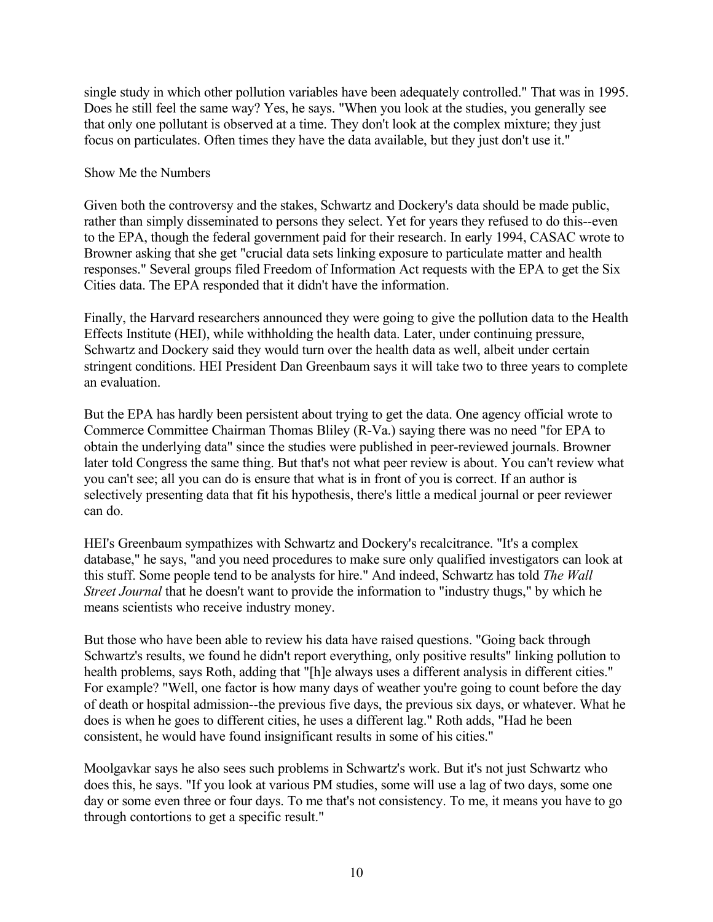single study in which other pollution variables have been adequately controlled." That was in 1995. Does he still feel the same way? Yes, he says. "When you look at the studies, you generally see that only one pollutant is observed at a time. They don't look at the complex mixture; they just focus on particulates. Often times they have the data available, but they just don't use it."

#### Show Me the Numbers

Given both the controversy and the stakes, Schwartz and Dockery's data should be made public, rather than simply disseminated to persons they select. Yet for years they refused to do this--even to the EPA, though the federal government paid for their research. In early 1994, CASAC wrote to Browner asking that she get "crucial data sets linking exposure to particulate matter and health responses." Several groups filed Freedom of Information Act requests with the EPA to get the Six Cities data. The EPA responded that it didn't have the information.

Finally, the Harvard researchers announced they were going to give the pollution data to the Health Effects Institute (HEI), while withholding the health data. Later, under continuing pressure, Schwartz and Dockery said they would turn over the health data as well, albeit under certain stringent conditions. HEI President Dan Greenbaum says it will take two to three years to complete an evaluation.

But the EPA has hardly been persistent about trying to get the data. One agency official wrote to Commerce Committee Chairman Thomas Bliley (R-Va.) saying there was no need "for EPA to obtain the underlying data" since the studies were published in peer-reviewed journals. Browner later told Congress the same thing. But that's not what peer review is about. You can't review what you can't see; all you can do is ensure that what is in front of you is correct. If an author is selectively presenting data that fit his hypothesis, there's little a medical journal or peer reviewer can do.

HEI's Greenbaum sympathizes with Schwartz and Dockery's recalcitrance. "It's a complex database," he says, "and you need procedures to make sure only qualified investigators can look at this stuff. Some people tend to be analysts for hire." And indeed, Schwartz has told *The Wall Street Journal* that he doesn't want to provide the information to "industry thugs," by which he means scientists who receive industry money.

But those who have been able to review his data have raised questions. "Going back through Schwartz's results, we found he didn't report everything, only positive results" linking pollution to health problems, says Roth, adding that "[h]e always uses a different analysis in different cities." For example? "Well, one factor is how many days of weather you're going to count before the day of death or hospital admission--the previous five days, the previous six days, or whatever. What he does is when he goes to different cities, he uses a different lag." Roth adds, "Had he been consistent, he would have found insignificant results in some of his cities."

Moolgavkar says he also sees such problems in Schwartz's work. But it's not just Schwartz who does this, he says. "If you look at various PM studies, some will use a lag of two days, some one day or some even three or four days. To me that's not consistency. To me, it means you have to go through contortions to get a specific result."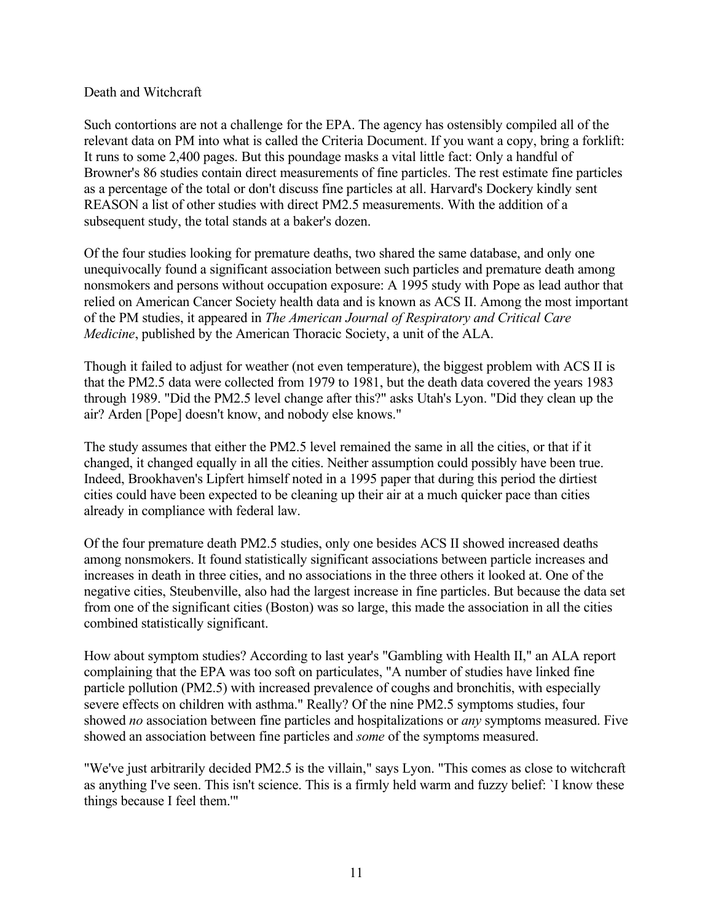#### Death and Witchcraft

Such contortions are not a challenge for the EPA. The agency has ostensibly compiled all of the relevant data on PM into what is called the Criteria Document. If you want a copy, bring a forklift: It runs to some 2,400 pages. But this poundage masks a vital little fact: Only a handful of Browner's 86 studies contain direct measurements of fine particles. The rest estimate fine particles as a percentage of the total or don't discuss fine particles at all. Harvard's Dockery kindly sent REASON a list of other studies with direct PM2.5 measurements. With the addition of a subsequent study, the total stands at a baker's dozen.

Of the four studies looking for premature deaths, two shared the same database, and only one unequivocally found a significant association between such particles and premature death among nonsmokers and persons without occupation exposure: A 1995 study with Pope as lead author that relied on American Cancer Society health data and is known as ACS II. Among the most important of the PM studies, it appeared in *The American Journal of Respiratory and Critical Care Medicine*, published by the American Thoracic Society, a unit of the ALA.

Though it failed to adjust for weather (not even temperature), the biggest problem with ACS II is that the PM2.5 data were collected from 1979 to 1981, but the death data covered the years 1983 through 1989. "Did the PM2.5 level change after this?" asks Utah's Lyon. "Did they clean up the air? Arden [Pope] doesn't know, and nobody else knows."

The study assumes that either the PM2.5 level remained the same in all the cities, or that if it changed, it changed equally in all the cities. Neither assumption could possibly have been true. Indeed, Brookhaven's Lipfert himself noted in a 1995 paper that during this period the dirtiest cities could have been expected to be cleaning up their air at a much quicker pace than cities already in compliance with federal law.

Of the four premature death PM2.5 studies, only one besides ACS II showed increased deaths among nonsmokers. It found statistically significant associations between particle increases and increases in death in three cities, and no associations in the three others it looked at. One of the negative cities, Steubenville, also had the largest increase in fine particles. But because the data set from one of the significant cities (Boston) was so large, this made the association in all the cities combined statistically significant.

How about symptom studies? According to last year's "Gambling with Health II," an ALA report complaining that the EPA was too soft on particulates, "A number of studies have linked fine particle pollution (PM2.5) with increased prevalence of coughs and bronchitis, with especially severe effects on children with asthma." Really? Of the nine PM2.5 symptoms studies, four showed *no* association between fine particles and hospitalizations or *any* symptoms measured. Five showed an association between fine particles and *some* of the symptoms measured.

"We've just arbitrarily decided PM2.5 is the villain," says Lyon. "This comes as close to witchcraft as anything I've seen. This isn't science. This is a firmly held warm and fuzzy belief: `I know these things because I feel them.'"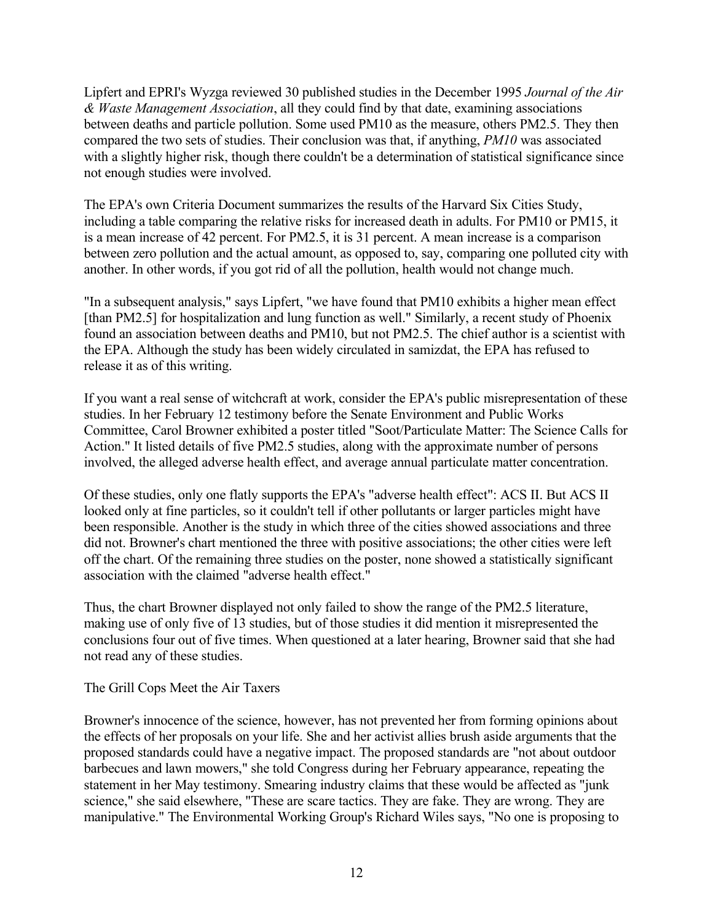Lipfert and EPRI's Wyzga reviewed 30 published studies in the December 1995 *Journal of the Air & Waste Management Association*, all they could find by that date, examining associations between deaths and particle pollution. Some used PM10 as the measure, others PM2.5. They then compared the two sets of studies. Their conclusion was that, if anything, *PM10* was associated with a slightly higher risk, though there couldn't be a determination of statistical significance since not enough studies were involved.

The EPA's own Criteria Document summarizes the results of the Harvard Six Cities Study, including a table comparing the relative risks for increased death in adults. For PM10 or PM15, it is a mean increase of 42 percent. For PM2.5, it is 31 percent. A mean increase is a comparison between zero pollution and the actual amount, as opposed to, say, comparing one polluted city with another. In other words, if you got rid of all the pollution, health would not change much.

"In a subsequent analysis," says Lipfert, "we have found that PM10 exhibits a higher mean effect [than PM2.5] for hospitalization and lung function as well." Similarly, a recent study of Phoenix found an association between deaths and PM10, but not PM2.5. The chief author is a scientist with the EPA. Although the study has been widely circulated in samizdat, the EPA has refused to release it as of this writing.

If you want a real sense of witchcraft at work, consider the EPA's public misrepresentation of these studies. In her February 12 testimony before the Senate Environment and Public Works Committee, Carol Browner exhibited a poster titled "Soot/Particulate Matter: The Science Calls for Action." It listed details of five PM2.5 studies, along with the approximate number of persons involved, the alleged adverse health effect, and average annual particulate matter concentration.

Of these studies, only one flatly supports the EPA's "adverse health effect": ACS II. But ACS II looked only at fine particles, so it couldn't tell if other pollutants or larger particles might have been responsible. Another is the study in which three of the cities showed associations and three did not. Browner's chart mentioned the three with positive associations; the other cities were left off the chart. Of the remaining three studies on the poster, none showed a statistically significant association with the claimed "adverse health effect."

Thus, the chart Browner displayed not only failed to show the range of the PM2.5 literature, making use of only five of 13 studies, but of those studies it did mention it misrepresented the conclusions four out of five times. When questioned at a later hearing, Browner said that she had not read any of these studies.

The Grill Cops Meet the Air Taxers

Browner's innocence of the science, however, has not prevented her from forming opinions about the effects of her proposals on your life. She and her activist allies brush aside arguments that the proposed standards could have a negative impact. The proposed standards are "not about outdoor barbecues and lawn mowers," she told Congress during her February appearance, repeating the statement in her May testimony. Smearing industry claims that these would be affected as "junk science," she said elsewhere, "These are scare tactics. They are fake. They are wrong. They are manipulative." The Environmental Working Group's Richard Wiles says, "No one is proposing to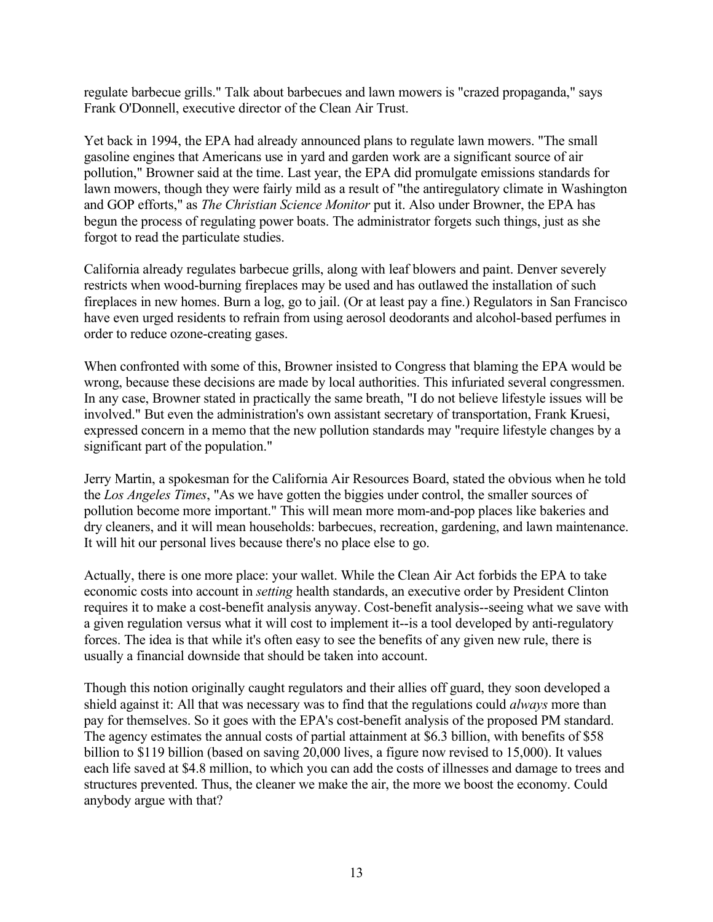regulate barbecue grills." Talk about barbecues and lawn mowers is "crazed propaganda," says Frank O'Donnell, executive director of the Clean Air Trust.

Yet back in 1994, the EPA had already announced plans to regulate lawn mowers. "The small gasoline engines that Americans use in yard and garden work are a significant source of air pollution," Browner said at the time. Last year, the EPA did promulgate emissions standards for lawn mowers, though they were fairly mild as a result of "the antiregulatory climate in Washington and GOP efforts," as *The Christian Science Monitor* put it. Also under Browner, the EPA has begun the process of regulating power boats. The administrator forgets such things, just as she forgot to read the particulate studies.

California already regulates barbecue grills, along with leaf blowers and paint. Denver severely restricts when wood-burning fireplaces may be used and has outlawed the installation of such fireplaces in new homes. Burn a log, go to jail. (Or at least pay a fine.) Regulators in San Francisco have even urged residents to refrain from using aerosol deodorants and alcohol-based perfumes in order to reduce ozone-creating gases.

When confronted with some of this, Browner insisted to Congress that blaming the EPA would be wrong, because these decisions are made by local authorities. This infuriated several congressmen. In any case, Browner stated in practically the same breath, "I do not believe lifestyle issues will be involved." But even the administration's own assistant secretary of transportation, Frank Kruesi, expressed concern in a memo that the new pollution standards may "require lifestyle changes by a significant part of the population."

Jerry Martin, a spokesman for the California Air Resources Board, stated the obvious when he told the *Los Angeles Times*, "As we have gotten the biggies under control, the smaller sources of pollution become more important." This will mean more mom-and-pop places like bakeries and dry cleaners, and it will mean households: barbecues, recreation, gardening, and lawn maintenance. It will hit our personal lives because there's no place else to go.

Actually, there is one more place: your wallet. While the Clean Air Act forbids the EPA to take economic costs into account in *setting* health standards, an executive order by President Clinton requires it to make a cost-benefit analysis anyway. Cost-benefit analysis--seeing what we save with a given regulation versus what it will cost to implement it--is a tool developed by anti-regulatory forces. The idea is that while it's often easy to see the benefits of any given new rule, there is usually a financial downside that should be taken into account.

Though this notion originally caught regulators and their allies off guard, they soon developed a shield against it: All that was necessary was to find that the regulations could *always* more than pay for themselves. So it goes with the EPA's cost-benefit analysis of the proposed PM standard. The agency estimates the annual costs of partial attainment at \$6.3 billion, with benefits of \$58 billion to \$119 billion (based on saving 20,000 lives, a figure now revised to 15,000). It values each life saved at \$4.8 million, to which you can add the costs of illnesses and damage to trees and structures prevented. Thus, the cleaner we make the air, the more we boost the economy. Could anybody argue with that?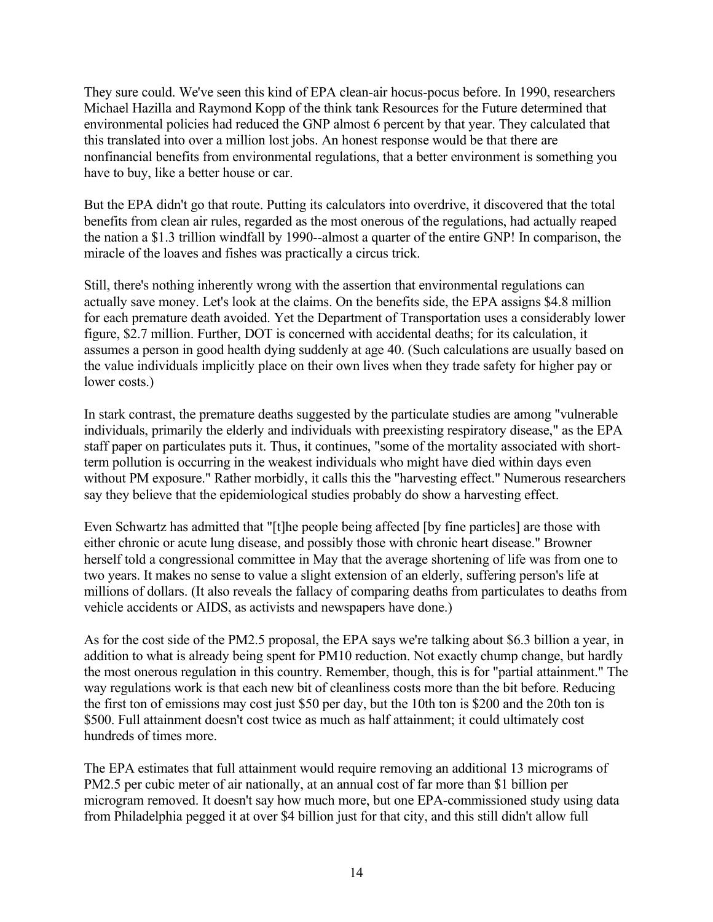They sure could. We've seen this kind of EPA clean-air hocus-pocus before. In 1990, researchers Michael Hazilla and Raymond Kopp of the think tank Resources for the Future determined that environmental policies had reduced the GNP almost 6 percent by that year. They calculated that this translated into over a million lost jobs. An honest response would be that there are nonfinancial benefits from environmental regulations, that a better environment is something you have to buy, like a better house or car.

But the EPA didn't go that route. Putting its calculators into overdrive, it discovered that the total benefits from clean air rules, regarded as the most onerous of the regulations, had actually reaped the nation a \$1.3 trillion windfall by 1990--almost a quarter of the entire GNP! In comparison, the miracle of the loaves and fishes was practically a circus trick.

Still, there's nothing inherently wrong with the assertion that environmental regulations can actually save money. Let's look at the claims. On the benefits side, the EPA assigns \$4.8 million for each premature death avoided. Yet the Department of Transportation uses a considerably lower figure, \$2.7 million. Further, DOT is concerned with accidental deaths; for its calculation, it assumes a person in good health dying suddenly at age 40. (Such calculations are usually based on the value individuals implicitly place on their own lives when they trade safety for higher pay or lower costs.)

In stark contrast, the premature deaths suggested by the particulate studies are among "vulnerable individuals, primarily the elderly and individuals with preexisting respiratory disease," as the EPA staff paper on particulates puts it. Thus, it continues, "some of the mortality associated with shortterm pollution is occurring in the weakest individuals who might have died within days even without PM exposure." Rather morbidly, it calls this the "harvesting effect." Numerous researchers say they believe that the epidemiological studies probably do show a harvesting effect.

Even Schwartz has admitted that "[t]he people being affected [by fine particles] are those with either chronic or acute lung disease, and possibly those with chronic heart disease." Browner herself told a congressional committee in May that the average shortening of life was from one to two years. It makes no sense to value a slight extension of an elderly, suffering person's life at millions of dollars. (It also reveals the fallacy of comparing deaths from particulates to deaths from vehicle accidents or AIDS, as activists and newspapers have done.)

As for the cost side of the PM2.5 proposal, the EPA says we're talking about \$6.3 billion a year, in addition to what is already being spent for PM10 reduction. Not exactly chump change, but hardly the most onerous regulation in this country. Remember, though, this is for "partial attainment." The way regulations work is that each new bit of cleanliness costs more than the bit before. Reducing the first ton of emissions may cost just \$50 per day, but the 10th ton is \$200 and the 20th ton is \$500. Full attainment doesn't cost twice as much as half attainment; it could ultimately cost hundreds of times more.

The EPA estimates that full attainment would require removing an additional 13 micrograms of PM2.5 per cubic meter of air nationally, at an annual cost of far more than \$1 billion per microgram removed. It doesn't say how much more, but one EPA-commissioned study using data from Philadelphia pegged it at over \$4 billion just for that city, and this still didn't allow full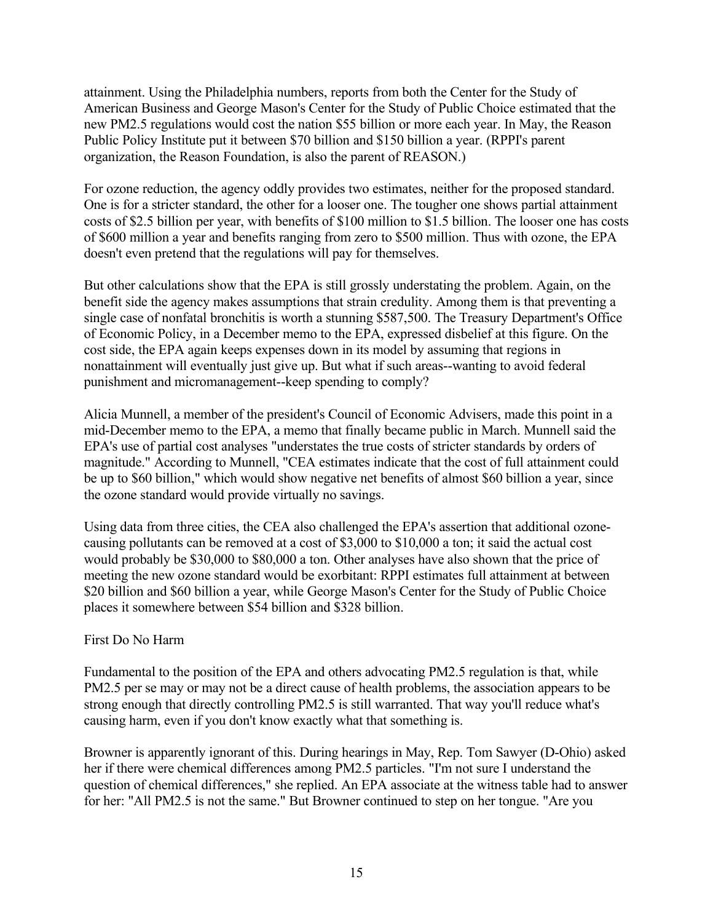attainment. Using the Philadelphia numbers, reports from both the Center for the Study of American Business and George Mason's Center for the Study of Public Choice estimated that the new PM2.5 regulations would cost the nation \$55 billion or more each year. In May, the Reason Public Policy Institute put it between \$70 billion and \$150 billion a year. (RPPI's parent organization, the Reason Foundation, is also the parent of REASON.)

For ozone reduction, the agency oddly provides two estimates, neither for the proposed standard. One is for a stricter standard, the other for a looser one. The tougher one shows partial attainment costs of \$2.5 billion per year, with benefits of \$100 million to \$1.5 billion. The looser one has costs of \$600 million a year and benefits ranging from zero to \$500 million. Thus with ozone, the EPA doesn't even pretend that the regulations will pay for themselves.

But other calculations show that the EPA is still grossly understating the problem. Again, on the benefit side the agency makes assumptions that strain credulity. Among them is that preventing a single case of nonfatal bronchitis is worth a stunning \$587,500. The Treasury Department's Office of Economic Policy, in a December memo to the EPA, expressed disbelief at this figure. On the cost side, the EPA again keeps expenses down in its model by assuming that regions in nonattainment will eventually just give up. But what if such areas--wanting to avoid federal punishment and micromanagement--keep spending to comply?

Alicia Munnell, a member of the president's Council of Economic Advisers, made this point in a mid-December memo to the EPA, a memo that finally became public in March. Munnell said the EPA's use of partial cost analyses "understates the true costs of stricter standards by orders of magnitude." According to Munnell, "CEA estimates indicate that the cost of full attainment could be up to \$60 billion," which would show negative net benefits of almost \$60 billion a year, since the ozone standard would provide virtually no savings.

Using data from three cities, the CEA also challenged the EPA's assertion that additional ozonecausing pollutants can be removed at a cost of \$3,000 to \$10,000 a ton; it said the actual cost would probably be \$30,000 to \$80,000 a ton. Other analyses have also shown that the price of meeting the new ozone standard would be exorbitant: RPPI estimates full attainment at between \$20 billion and \$60 billion a year, while George Mason's Center for the Study of Public Choice places it somewhere between \$54 billion and \$328 billion.

## First Do No Harm

Fundamental to the position of the EPA and others advocating PM2.5 regulation is that, while PM2.5 per se may or may not be a direct cause of health problems, the association appears to be strong enough that directly controlling PM2.5 is still warranted. That way you'll reduce what's causing harm, even if you don't know exactly what that something is.

Browner is apparently ignorant of this. During hearings in May, Rep. Tom Sawyer (D-Ohio) asked her if there were chemical differences among PM2.5 particles. "I'm not sure I understand the question of chemical differences," she replied. An EPA associate at the witness table had to answer for her: "All PM2.5 is not the same." But Browner continued to step on her tongue. "Are you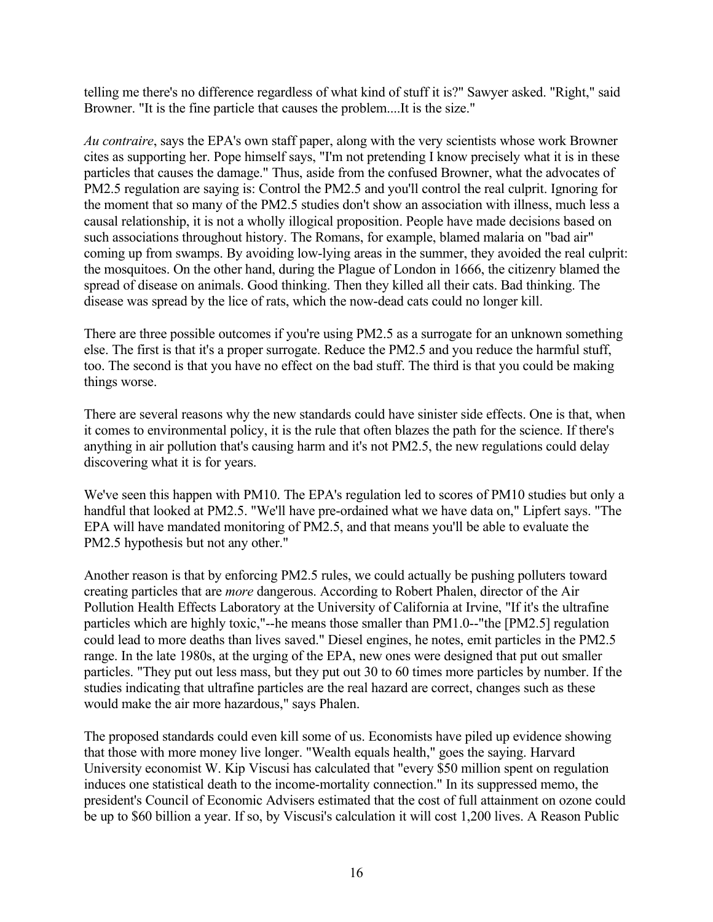telling me there's no difference regardless of what kind of stuff it is?" Sawyer asked. "Right," said Browner. "It is the fine particle that causes the problem....It is the size."

*Au contraire*, says the EPA's own staff paper, along with the very scientists whose work Browner cites as supporting her. Pope himself says, "I'm not pretending I know precisely what it is in these particles that causes the damage." Thus, aside from the confused Browner, what the advocates of PM2.5 regulation are saying is: Control the PM2.5 and you'll control the real culprit. Ignoring for the moment that so many of the PM2.5 studies don't show an association with illness, much less a causal relationship, it is not a wholly illogical proposition. People have made decisions based on such associations throughout history. The Romans, for example, blamed malaria on "bad air" coming up from swamps. By avoiding low-lying areas in the summer, they avoided the real culprit: the mosquitoes. On the other hand, during the Plague of London in 1666, the citizenry blamed the spread of disease on animals. Good thinking. Then they killed all their cats. Bad thinking. The disease was spread by the lice of rats, which the now-dead cats could no longer kill.

There are three possible outcomes if you're using PM2.5 as a surrogate for an unknown something else. The first is that it's a proper surrogate. Reduce the PM2.5 and you reduce the harmful stuff, too. The second is that you have no effect on the bad stuff. The third is that you could be making things worse.

There are several reasons why the new standards could have sinister side effects. One is that, when it comes to environmental policy, it is the rule that often blazes the path for the science. If there's anything in air pollution that's causing harm and it's not PM2.5, the new regulations could delay discovering what it is for years.

We've seen this happen with PM10. The EPA's regulation led to scores of PM10 studies but only a handful that looked at PM2.5. "We'll have pre-ordained what we have data on," Lipfert says. "The EPA will have mandated monitoring of PM2.5, and that means you'll be able to evaluate the PM2.5 hypothesis but not any other."

Another reason is that by enforcing PM2.5 rules, we could actually be pushing polluters toward creating particles that are *more* dangerous. According to Robert Phalen, director of the Air Pollution Health Effects Laboratory at the University of California at Irvine, "If it's the ultrafine particles which are highly toxic,"--he means those smaller than PM1.0--"the [PM2.5] regulation could lead to more deaths than lives saved." Diesel engines, he notes, emit particles in the PM2.5 range. In the late 1980s, at the urging of the EPA, new ones were designed that put out smaller particles. "They put out less mass, but they put out 30 to 60 times more particles by number. If the studies indicating that ultrafine particles are the real hazard are correct, changes such as these would make the air more hazardous," says Phalen.

The proposed standards could even kill some of us. Economists have piled up evidence showing that those with more money live longer. "Wealth equals health," goes the saying. Harvard University economist W. Kip Viscusi has calculated that "every \$50 million spent on regulation induces one statistical death to the income-mortality connection." In its suppressed memo, the president's Council of Economic Advisers estimated that the cost of full attainment on ozone could be up to \$60 billion a year. If so, by Viscusi's calculation it will cost 1,200 lives. A Reason Public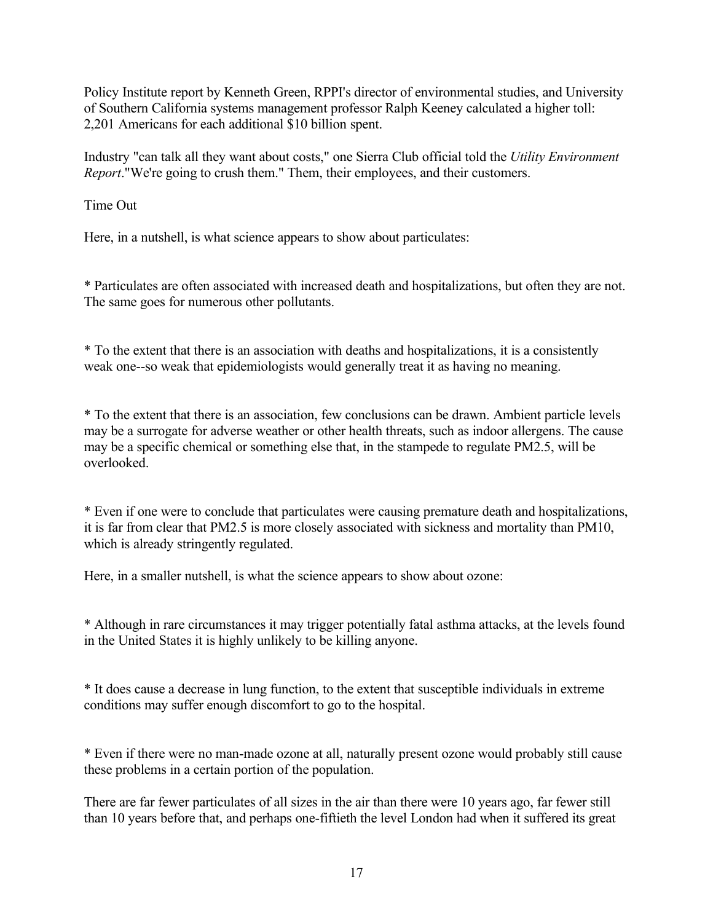Policy Institute report by Kenneth Green, RPPI's director of environmental studies, and University of Southern California systems management professor Ralph Keeney calculated a higher toll: 2,201 Americans for each additional \$10 billion spent.

Industry "can talk all they want about costs," one Sierra Club official told the *Utility Environment Report*."We're going to crush them." Them, their employees, and their customers.

Time Out

Here, in a nutshell, is what science appears to show about particulates:

\* Particulates are often associated with increased death and hospitalizations, but often they are not. The same goes for numerous other pollutants.

\* To the extent that there is an association with deaths and hospitalizations, it is a consistently weak one--so weak that epidemiologists would generally treat it as having no meaning.

\* To the extent that there is an association, few conclusions can be drawn. Ambient particle levels may be a surrogate for adverse weather or other health threats, such as indoor allergens. The cause may be a specific chemical or something else that, in the stampede to regulate PM2.5, will be overlooked.

\* Even if one were to conclude that particulates were causing premature death and hospitalizations, it is far from clear that PM2.5 is more closely associated with sickness and mortality than PM10, which is already stringently regulated.

Here, in a smaller nutshell, is what the science appears to show about ozone:

\* Although in rare circumstances it may trigger potentially fatal asthma attacks, at the levels found in the United States it is highly unlikely to be killing anyone.

\* It does cause a decrease in lung function, to the extent that susceptible individuals in extreme conditions may suffer enough discomfort to go to the hospital.

\* Even if there were no man-made ozone at all, naturally present ozone would probably still cause these problems in a certain portion of the population.

There are far fewer particulates of all sizes in the air than there were 10 years ago, far fewer still than 10 years before that, and perhaps one-fiftieth the level London had when it suffered its great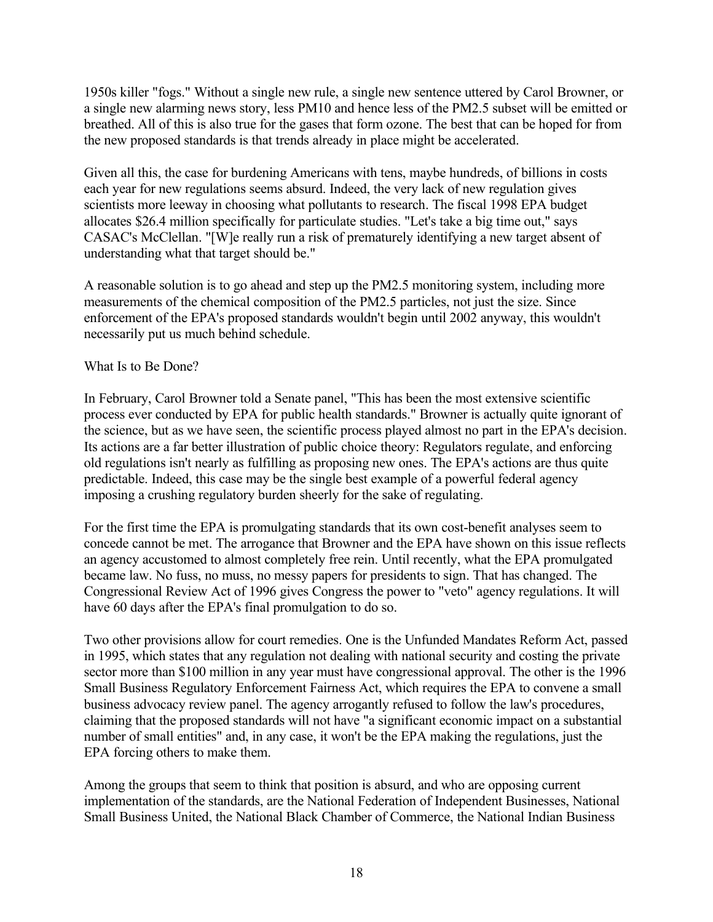1950s killer "fogs." Without a single new rule, a single new sentence uttered by Carol Browner, or a single new alarming news story, less PM10 and hence less of the PM2.5 subset will be emitted or breathed. All of this is also true for the gases that form ozone. The best that can be hoped for from the new proposed standards is that trends already in place might be accelerated.

Given all this, the case for burdening Americans with tens, maybe hundreds, of billions in costs each year for new regulations seems absurd. Indeed, the very lack of new regulation gives scientists more leeway in choosing what pollutants to research. The fiscal 1998 EPA budget allocates \$26.4 million specifically for particulate studies. "Let's take a big time out," says CASAC's McClellan. "[W]e really run a risk of prematurely identifying a new target absent of understanding what that target should be."

A reasonable solution is to go ahead and step up the PM2.5 monitoring system, including more measurements of the chemical composition of the PM2.5 particles, not just the size. Since enforcement of the EPA's proposed standards wouldn't begin until 2002 anyway, this wouldn't necessarily put us much behind schedule.

#### What Is to Be Done?

In February, Carol Browner told a Senate panel, "This has been the most extensive scientific process ever conducted by EPA for public health standards." Browner is actually quite ignorant of the science, but as we have seen, the scientific process played almost no part in the EPA's decision. Its actions are a far better illustration of public choice theory: Regulators regulate, and enforcing old regulations isn't nearly as fulfilling as proposing new ones. The EPA's actions are thus quite predictable. Indeed, this case may be the single best example of a powerful federal agency imposing a crushing regulatory burden sheerly for the sake of regulating.

For the first time the EPA is promulgating standards that its own cost-benefit analyses seem to concede cannot be met. The arrogance that Browner and the EPA have shown on this issue reflects an agency accustomed to almost completely free rein. Until recently, what the EPA promulgated became law. No fuss, no muss, no messy papers for presidents to sign. That has changed. The Congressional Review Act of 1996 gives Congress the power to "veto" agency regulations. It will have 60 days after the EPA's final promulgation to do so.

Two other provisions allow for court remedies. One is the Unfunded Mandates Reform Act, passed in 1995, which states that any regulation not dealing with national security and costing the private sector more than \$100 million in any year must have congressional approval. The other is the 1996 Small Business Regulatory Enforcement Fairness Act, which requires the EPA to convene a small business advocacy review panel. The agency arrogantly refused to follow the law's procedures, claiming that the proposed standards will not have "a significant economic impact on a substantial number of small entities" and, in any case, it won't be the EPA making the regulations, just the EPA forcing others to make them.

Among the groups that seem to think that position is absurd, and who are opposing current implementation of the standards, are the National Federation of Independent Businesses, National Small Business United, the National Black Chamber of Commerce, the National Indian Business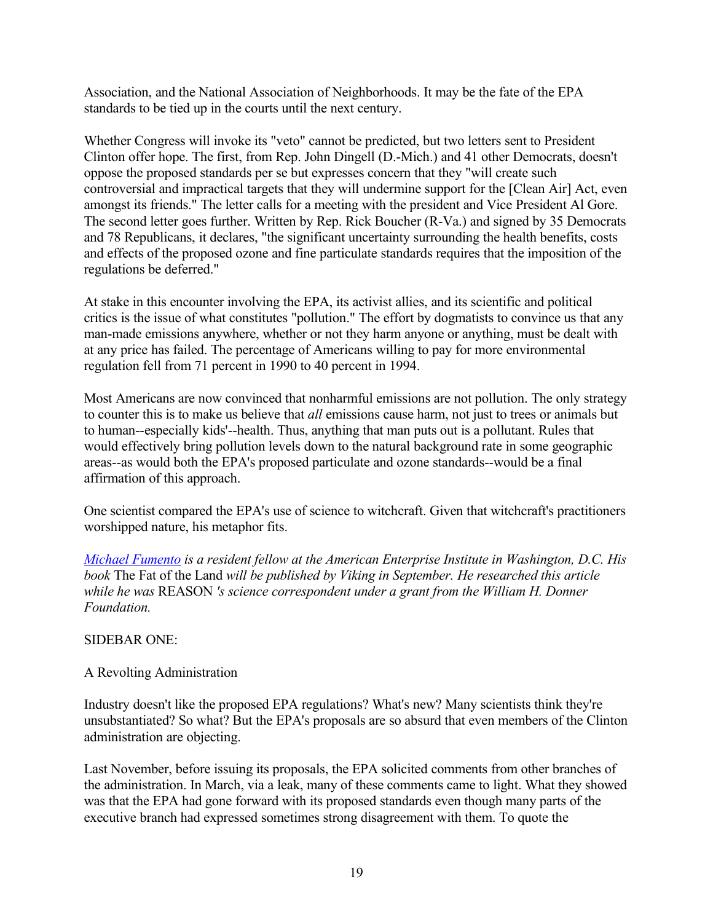Association, and the National Association of Neighborhoods. It may be the fate of the EPA standards to be tied up in the courts until the next century.

Whether Congress will invoke its "veto" cannot be predicted, but two letters sent to President Clinton offer hope. The first, from Rep. John Dingell (D.-Mich.) and 41 other Democrats, doesn't oppose the proposed standards per se but expresses concern that they "will create such controversial and impractical targets that they will undermine support for the [Clean Air] Act, even amongst its friends." The letter calls for a meeting with the president and Vice President Al Gore. The second letter goes further. Written by Rep. Rick Boucher (R-Va.) and signed by 35 Democrats and 78 Republicans, it declares, "the significant uncertainty surrounding the health benefits, costs and effects of the proposed ozone and fine particulate standards requires that the imposition of the regulations be deferred."

At stake in this encounter involving the EPA, its activist allies, and its scientific and political critics is the issue of what constitutes "pollution." The effort by dogmatists to convince us that any man-made emissions anywhere, whether or not they harm anyone or anything, must be dealt with at any price has failed. The percentage of Americans willing to pay for more environmental regulation fell from 71 percent in 1990 to 40 percent in 1994.

Most Americans are now convinced that nonharmful emissions are not pollution. The only strategy to counter this is to make us believe that *all* emissions cause harm, not just to trees or animals but to human--especially kids'--health. Thus, anything that man puts out is a pollutant. Rules that would effectively bring pollution levels down to the natural background rate in some geographic areas--as would both the EPA's proposed particulate and ozone standards--would be a final affirmation of this approach.

One scientist compared the EPA's use of science to witchcraft. Given that witchcraft's practitioners worshipped nature, his metaphor fits.

*[Michael Fumento](mailto:mfumento@compuserve.com) is a resident fellow at the American Enterprise Institute in Washington, D.C. His book* The Fat of the Land *will be published by Viking in September. He researched this article while he was* REASON *'s science correspondent under a grant from the William H. Donner Foundation.*

#### SIDEBAR ONE:

#### A Revolting Administration

Industry doesn't like the proposed EPA regulations? What's new? Many scientists think they're unsubstantiated? So what? But the EPA's proposals are so absurd that even members of the Clinton administration are objecting.

Last November, before issuing its proposals, the EPA solicited comments from other branches of the administration. In March, via a leak, many of these comments came to light. What they showed was that the EPA had gone forward with its proposed standards even though many parts of the executive branch had expressed sometimes strong disagreement with them. To quote the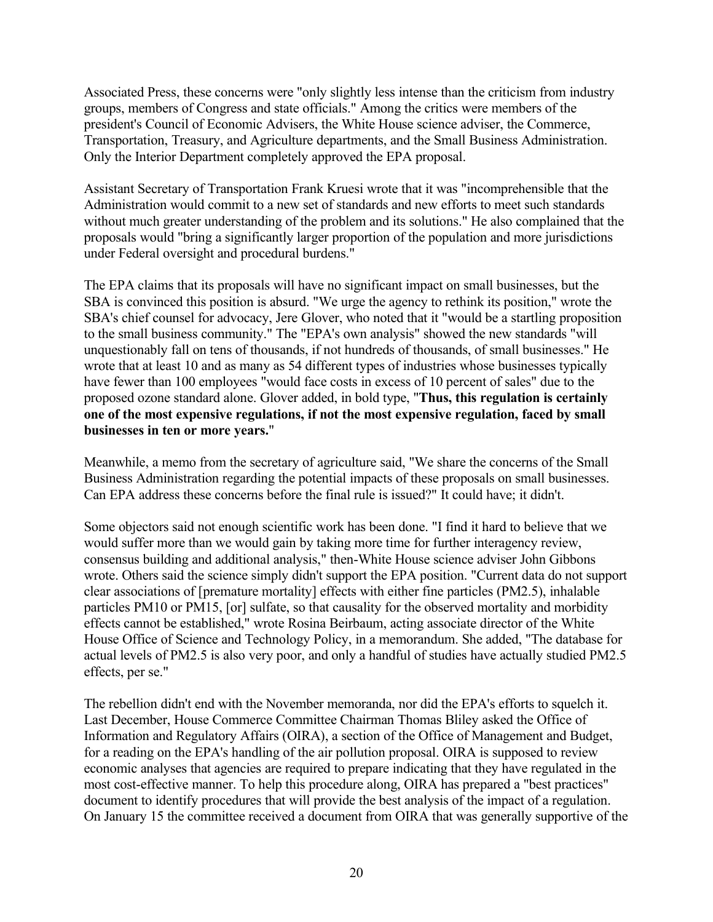Associated Press, these concerns were "only slightly less intense than the criticism from industry groups, members of Congress and state officials." Among the critics were members of the president's Council of Economic Advisers, the White House science adviser, the Commerce, Transportation, Treasury, and Agriculture departments, and the Small Business Administration. Only the Interior Department completely approved the EPA proposal.

Assistant Secretary of Transportation Frank Kruesi wrote that it was "incomprehensible that the Administration would commit to a new set of standards and new efforts to meet such standards without much greater understanding of the problem and its solutions." He also complained that the proposals would "bring a significantly larger proportion of the population and more jurisdictions under Federal oversight and procedural burdens."

The EPA claims that its proposals will have no significant impact on small businesses, but the SBA is convinced this position is absurd. "We urge the agency to rethink its position," wrote the SBA's chief counsel for advocacy, Jere Glover, who noted that it "would be a startling proposition to the small business community." The "EPA's own analysis" showed the new standards "will unquestionably fall on tens of thousands, if not hundreds of thousands, of small businesses." He wrote that at least 10 and as many as 54 different types of industries whose businesses typically have fewer than 100 employees "would face costs in excess of 10 percent of sales" due to the proposed ozone standard alone. Glover added, in bold type, "**Thus, this regulation is certainly one of the most expensive regulations, if not the most expensive regulation, faced by small businesses in ten or more years.**"

Meanwhile, a memo from the secretary of agriculture said, "We share the concerns of the Small Business Administration regarding the potential impacts of these proposals on small businesses. Can EPA address these concerns before the final rule is issued?" It could have; it didn't.

Some objectors said not enough scientific work has been done. "I find it hard to believe that we would suffer more than we would gain by taking more time for further interagency review, consensus building and additional analysis," then-White House science adviser John Gibbons wrote. Others said the science simply didn't support the EPA position. "Current data do not support clear associations of [premature mortality] effects with either fine particles (PM2.5), inhalable particles PM10 or PM15, [or] sulfate, so that causality for the observed mortality and morbidity effects cannot be established," wrote Rosina Beirbaum, acting associate director of the White House Office of Science and Technology Policy, in a memorandum. She added, "The database for actual levels of PM2.5 is also very poor, and only a handful of studies have actually studied PM2.5 effects, per se."

The rebellion didn't end with the November memoranda, nor did the EPA's efforts to squelch it. Last December, House Commerce Committee Chairman Thomas Bliley asked the Office of Information and Regulatory Affairs (OIRA), a section of the Office of Management and Budget, for a reading on the EPA's handling of the air pollution proposal. OIRA is supposed to review economic analyses that agencies are required to prepare indicating that they have regulated in the most cost-effective manner. To help this procedure along, OIRA has prepared a "best practices" document to identify procedures that will provide the best analysis of the impact of a regulation. On January 15 the committee received a document from OIRA that was generally supportive of the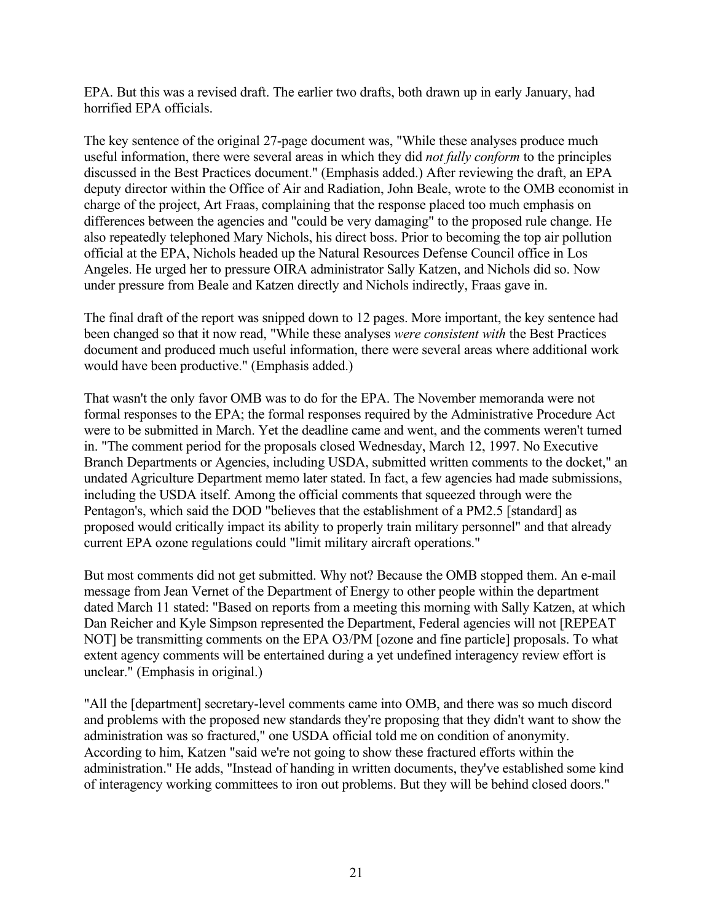EPA. But this was a revised draft. The earlier two drafts, both drawn up in early January, had horrified EPA officials.

The key sentence of the original 27-page document was, "While these analyses produce much useful information, there were several areas in which they did *not fully conform* to the principles discussed in the Best Practices document." (Emphasis added.) After reviewing the draft, an EPA deputy director within the Office of Air and Radiation, John Beale, wrote to the OMB economist in charge of the project, Art Fraas, complaining that the response placed too much emphasis on differences between the agencies and "could be very damaging" to the proposed rule change. He also repeatedly telephoned Mary Nichols, his direct boss. Prior to becoming the top air pollution official at the EPA, Nichols headed up the Natural Resources Defense Council office in Los Angeles. He urged her to pressure OIRA administrator Sally Katzen, and Nichols did so. Now under pressure from Beale and Katzen directly and Nichols indirectly, Fraas gave in.

The final draft of the report was snipped down to 12 pages. More important, the key sentence had been changed so that it now read, "While these analyses *were consistent with* the Best Practices document and produced much useful information, there were several areas where additional work would have been productive." (Emphasis added.)

That wasn't the only favor OMB was to do for the EPA. The November memoranda were not formal responses to the EPA; the formal responses required by the Administrative Procedure Act were to be submitted in March. Yet the deadline came and went, and the comments weren't turned in. "The comment period for the proposals closed Wednesday, March 12, 1997. No Executive Branch Departments or Agencies, including USDA, submitted written comments to the docket," an undated Agriculture Department memo later stated. In fact, a few agencies had made submissions, including the USDA itself. Among the official comments that squeezed through were the Pentagon's, which said the DOD "believes that the establishment of a PM2.5 [standard] as proposed would critically impact its ability to properly train military personnel" and that already current EPA ozone regulations could "limit military aircraft operations."

But most comments did not get submitted. Why not? Because the OMB stopped them. An e-mail message from Jean Vernet of the Department of Energy to other people within the department dated March 11 stated: "Based on reports from a meeting this morning with Sally Katzen, at which Dan Reicher and Kyle Simpson represented the Department, Federal agencies will not [REPEAT NOT] be transmitting comments on the EPA O3/PM [ozone and fine particle] proposals. To what extent agency comments will be entertained during a yet undefined interagency review effort is unclear." (Emphasis in original.)

"All the [department] secretary-level comments came into OMB, and there was so much discord and problems with the proposed new standards they're proposing that they didn't want to show the administration was so fractured," one USDA official told me on condition of anonymity. According to him, Katzen "said we're not going to show these fractured efforts within the administration." He adds, "Instead of handing in written documents, they've established some kind of interagency working committees to iron out problems. But they will be behind closed doors."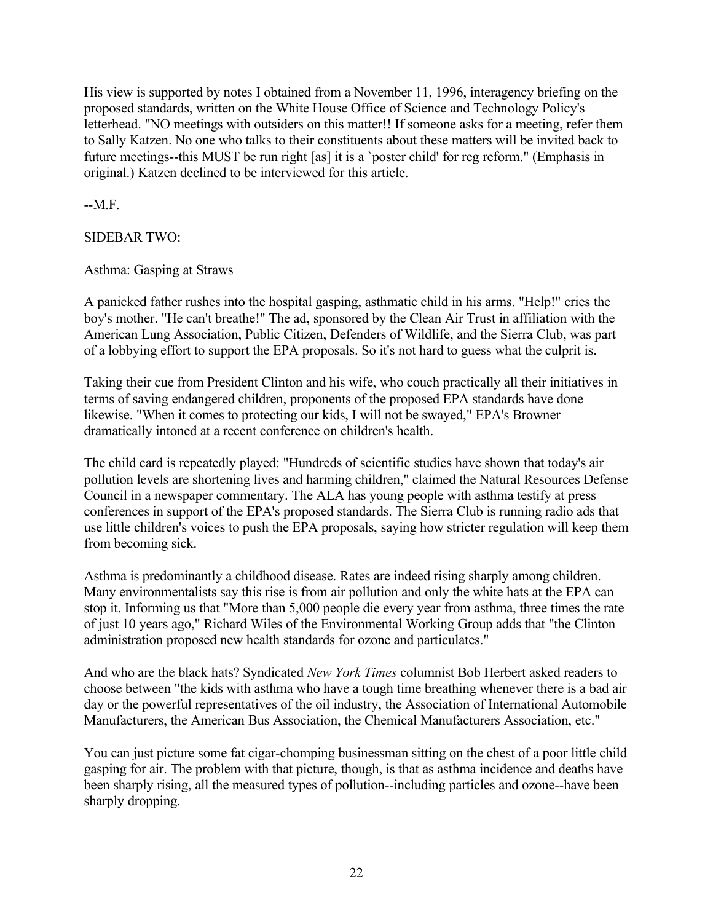His view is supported by notes I obtained from a November 11, 1996, interagency briefing on the proposed standards, written on the White House Office of Science and Technology Policy's letterhead. "NO meetings with outsiders on this matter!! If someone asks for a meeting, refer them to Sally Katzen. No one who talks to their constituents about these matters will be invited back to future meetings--this MUST be run right [as] it is a `poster child' for reg reform." (Emphasis in original.) Katzen declined to be interviewed for this article.

--M.F.

SIDEBAR TWO:

Asthma: Gasping at Straws

A panicked father rushes into the hospital gasping, asthmatic child in his arms. "Help!" cries the boy's mother. "He can't breathe!" The ad, sponsored by the Clean Air Trust in affiliation with the American Lung Association, Public Citizen, Defenders of Wildlife, and the Sierra Club, was part of a lobbying effort to support the EPA proposals. So it's not hard to guess what the culprit is.

Taking their cue from President Clinton and his wife, who couch practically all their initiatives in terms of saving endangered children, proponents of the proposed EPA standards have done likewise. "When it comes to protecting our kids, I will not be swayed," EPA's Browner dramatically intoned at a recent conference on children's health.

The child card is repeatedly played: "Hundreds of scientific studies have shown that today's air pollution levels are shortening lives and harming children," claimed the Natural Resources Defense Council in a newspaper commentary. The ALA has young people with asthma testify at press conferences in support of the EPA's proposed standards. The Sierra Club is running radio ads that use little children's voices to push the EPA proposals, saying how stricter regulation will keep them from becoming sick.

Asthma is predominantly a childhood disease. Rates are indeed rising sharply among children. Many environmentalists say this rise is from air pollution and only the white hats at the EPA can stop it. Informing us that "More than 5,000 people die every year from asthma, three times the rate of just 10 years ago," Richard Wiles of the Environmental Working Group adds that "the Clinton administration proposed new health standards for ozone and particulates."

And who are the black hats? Syndicated *New York Times* columnist Bob Herbert asked readers to choose between "the kids with asthma who have a tough time breathing whenever there is a bad air day or the powerful representatives of the oil industry, the Association of International Automobile Manufacturers, the American Bus Association, the Chemical Manufacturers Association, etc."

You can just picture some fat cigar-chomping businessman sitting on the chest of a poor little child gasping for air. The problem with that picture, though, is that as asthma incidence and deaths have been sharply rising, all the measured types of pollution--including particles and ozone--have been sharply dropping.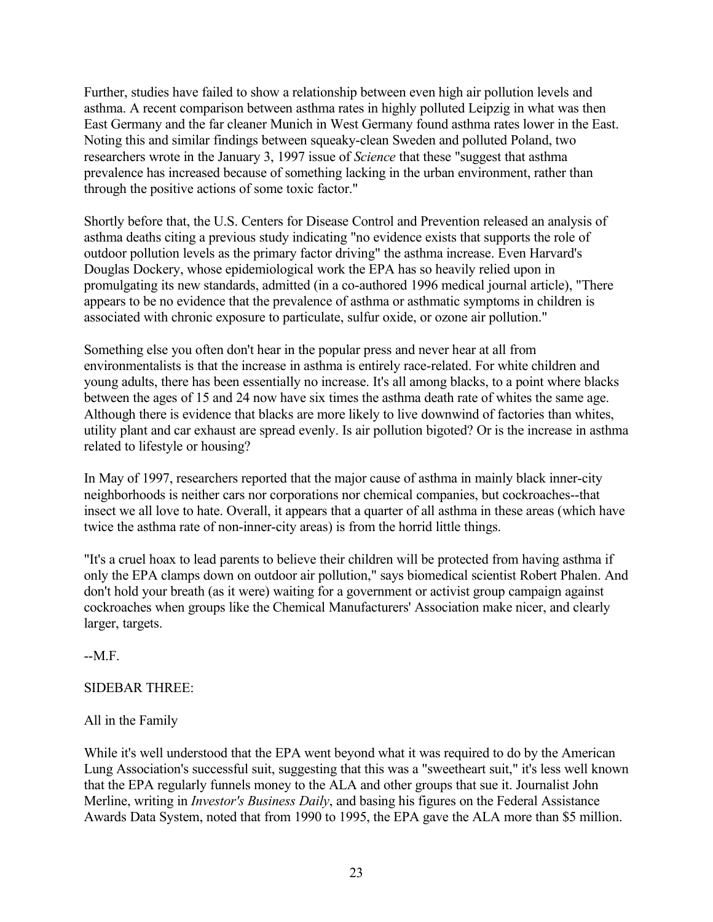Further, studies have failed to show a relationship between even high air pollution levels and asthma. A recent comparison between asthma rates in highly polluted Leipzig in what was then East Germany and the far cleaner Munich in West Germany found asthma rates lower in the East. Noting this and similar findings between squeaky-clean Sweden and polluted Poland, two researchers wrote in the January 3, 1997 issue of *Science* that these "suggest that asthma prevalence has increased because of something lacking in the urban environment, rather than through the positive actions of some toxic factor."

Shortly before that, the U.S. Centers for Disease Control and Prevention released an analysis of asthma deaths citing a previous study indicating "no evidence exists that supports the role of outdoor pollution levels as the primary factor driving" the asthma increase. Even Harvard's Douglas Dockery, whose epidemiological work the EPA has so heavily relied upon in promulgating its new standards, admitted (in a co-authored 1996 medical journal article), "There appears to be no evidence that the prevalence of asthma or asthmatic symptoms in children is associated with chronic exposure to particulate, sulfur oxide, or ozone air pollution."

Something else you often don't hear in the popular press and never hear at all from environmentalists is that the increase in asthma is entirely race-related. For white children and young adults, there has been essentially no increase. It's all among blacks, to a point where blacks between the ages of 15 and 24 now have six times the asthma death rate of whites the same age. Although there is evidence that blacks are more likely to live downwind of factories than whites, utility plant and car exhaust are spread evenly. Is air pollution bigoted? Or is the increase in asthma related to lifestyle or housing?

In May of 1997, researchers reported that the major cause of asthma in mainly black inner-city neighborhoods is neither cars nor corporations nor chemical companies, but cockroaches--that insect we all love to hate. Overall, it appears that a quarter of all asthma in these areas (which have twice the asthma rate of non-inner-city areas) is from the horrid little things.

"It's a cruel hoax to lead parents to believe their children will be protected from having asthma if only the EPA clamps down on outdoor air pollution," says biomedical scientist Robert Phalen. And don't hold your breath (as it were) waiting for a government or activist group campaign against cockroaches when groups like the Chemical Manufacturers' Association make nicer, and clearly larger, targets.

 $-MF$ 

## SIDEBAR THREE:

# All in the Family

While it's well understood that the EPA went beyond what it was required to do by the American Lung Association's successful suit, suggesting that this was a "sweetheart suit," it's less well known that the EPA regularly funnels money to the ALA and other groups that sue it. Journalist John Merline, writing in *Investor's Business Daily*, and basing his figures on the Federal Assistance Awards Data System, noted that from 1990 to 1995, the EPA gave the ALA more than \$5 million.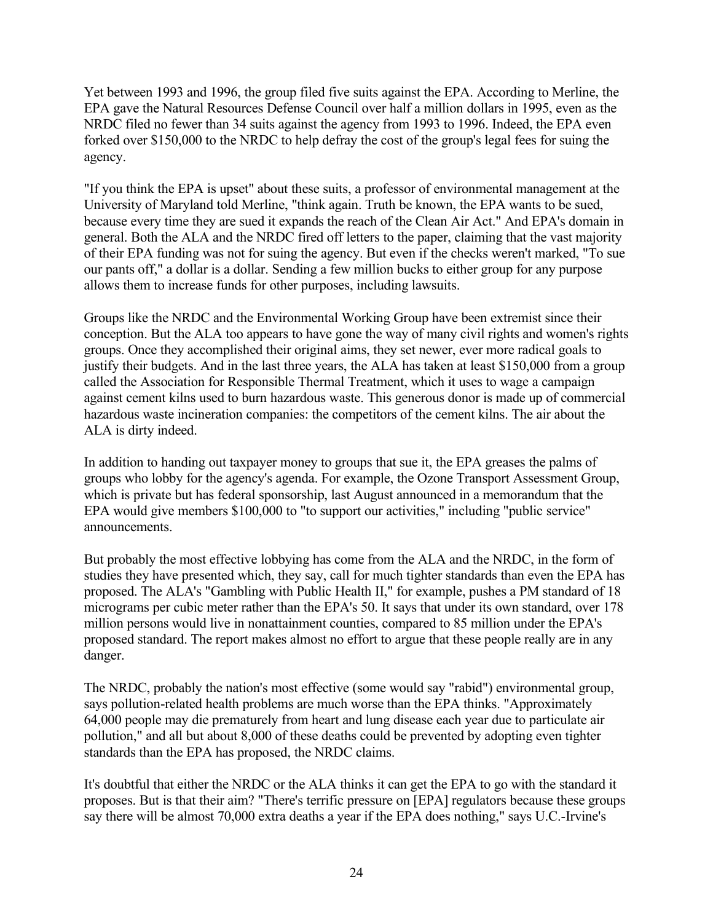Yet between 1993 and 1996, the group filed five suits against the EPA. According to Merline, the EPA gave the Natural Resources Defense Council over half a million dollars in 1995, even as the NRDC filed no fewer than 34 suits against the agency from 1993 to 1996. Indeed, the EPA even forked over \$150,000 to the NRDC to help defray the cost of the group's legal fees for suing the agency.

"If you think the EPA is upset" about these suits, a professor of environmental management at the University of Maryland told Merline, "think again. Truth be known, the EPA wants to be sued, because every time they are sued it expands the reach of the Clean Air Act." And EPA's domain in general. Both the ALA and the NRDC fired off letters to the paper, claiming that the vast majority of their EPA funding was not for suing the agency. But even if the checks weren't marked, "To sue our pants off," a dollar is a dollar. Sending a few million bucks to either group for any purpose allows them to increase funds for other purposes, including lawsuits.

Groups like the NRDC and the Environmental Working Group have been extremist since their conception. But the ALA too appears to have gone the way of many civil rights and women's rights groups. Once they accomplished their original aims, they set newer, ever more radical goals to justify their budgets. And in the last three years, the ALA has taken at least \$150,000 from a group called the Association for Responsible Thermal Treatment, which it uses to wage a campaign against cement kilns used to burn hazardous waste. This generous donor is made up of commercial hazardous waste incineration companies: the competitors of the cement kilns. The air about the ALA is dirty indeed.

In addition to handing out taxpayer money to groups that sue it, the EPA greases the palms of groups who lobby for the agency's agenda. For example, the Ozone Transport Assessment Group, which is private but has federal sponsorship, last August announced in a memorandum that the EPA would give members \$100,000 to "to support our activities," including "public service" announcements.

But probably the most effective lobbying has come from the ALA and the NRDC, in the form of studies they have presented which, they say, call for much tighter standards than even the EPA has proposed. The ALA's "Gambling with Public Health II," for example, pushes a PM standard of 18 micrograms per cubic meter rather than the EPA's 50. It says that under its own standard, over 178 million persons would live in nonattainment counties, compared to 85 million under the EPA's proposed standard. The report makes almost no effort to argue that these people really are in any danger.

The NRDC, probably the nation's most effective (some would say "rabid") environmental group, says pollution-related health problems are much worse than the EPA thinks. "Approximately 64,000 people may die prematurely from heart and lung disease each year due to particulate air pollution," and all but about 8,000 of these deaths could be prevented by adopting even tighter standards than the EPA has proposed, the NRDC claims.

It's doubtful that either the NRDC or the ALA thinks it can get the EPA to go with the standard it proposes. But is that their aim? "There's terrific pressure on [EPA] regulators because these groups say there will be almost 70,000 extra deaths a year if the EPA does nothing," says U.C.-Irvine's